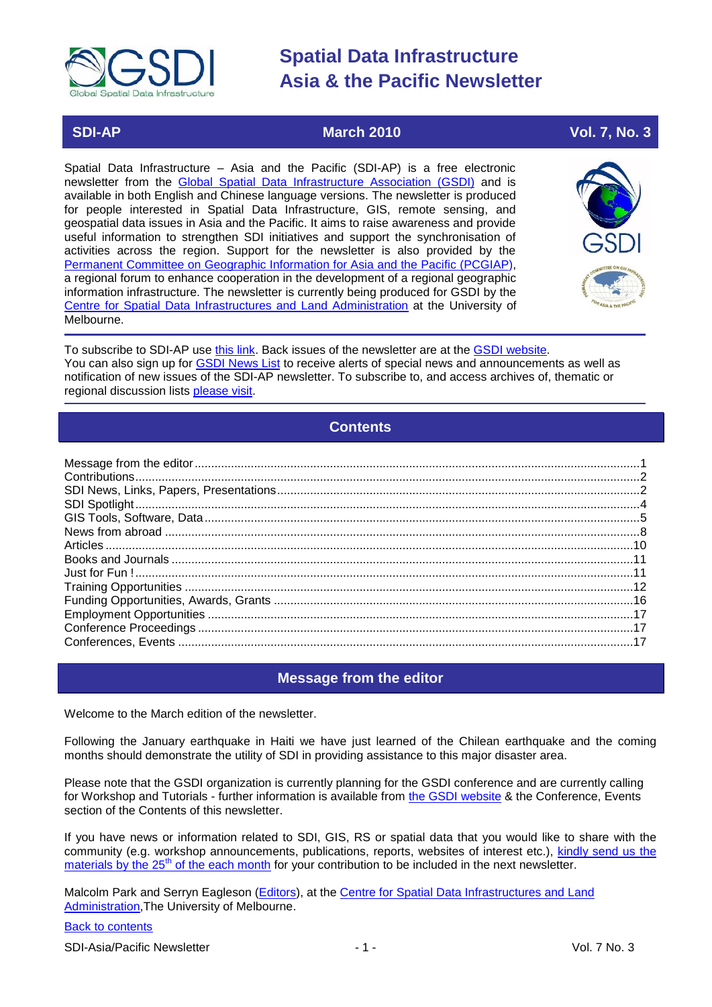

# **SDI-AP March 2010 Vol. 7, No. 3**

Spatial Data Infrastructure – Asia and the Pacific (SDI-AP) is a free electronic newsletter from the [Global Spatial Data Infrastructure Association \(GSDI\)](http://www.gsdi.org/) and is available in both English and Chinese language versions. The newsletter is produced for people interested in Spatial Data Infrastructure, GIS, remote sensing, and geospatial data issues in Asia and the Pacific. It aims to raise awareness and provide useful information to strengthen SDI initiatives and support the synchronisation of activities across the region. Support for the newsletter is also provided by the [Permanent Committee on Geographic Information for Asia and the Pacific \(PCGIAP\)](http://www.pcgiap.org/), a regional forum to enhance cooperation in the development of a regional geographic information infrastructure. The newsletter is currently being produced for GSDI by the Centre for Spatial Data [Infrastructures and Land Administration](http://www.csdila.unimelb.edu.au/) at the University of Melbourne.



To subscribe to SDI-AP use [this link.](http://www.gsdi.org/newslist/gsdisubscribe.asp) Back issues of the newsletter are at the [GSDI website.](http://www.gsdi.org/newsletters.asp) You can also sign up for **GSDI News List** to receive alerts of special news and announcements as well as notification of new issues of the SDI-AP newsletter. To subscribe to, and access archives of, thematic or regional discussion lists [please visit.](http://www.gsdi.org/discussionlists.asp)

# **Contents**

<span id="page-0-0"></span>

### **Message from the editor**

<span id="page-0-1"></span>Welcome to the March edition of the newsletter.

Following the January earthquake in Haiti we have just learned of the Chilean earthquake and the coming months should demonstrate the utility of SDI in providing assistance to this major disaster area.

Please note that the GSDI organization is currently planning for the GSDI conference and are currently calling for Workshop and Tutorials - further information is available from [the GSDI website](http://www.gsdi.org/node/246) & the Conference, Events section of the Contents of this newsletter.

If you have news or information related to SDI, GIS, RS or spatial data that you would like to share with the community (e.g. workshop announcements, publications, reports, websites of interest etc.), [kindly send us](mailto:sdi-ap@gsdi.org) the [materials by the 25](mailto:sdi-ap@gsdi.org)<sup>th</sup> of the each month for your contribution to be included in the next newsletter.

Malcolm Park and Serryn Eagleson [\(Editors\)](mailto:Editor.SDIAP@gmail.com), at the [Centre for Spatial Data Infrastructures and Land](http://www.csdila.unimelb.edu.au/)  [Administration,](http://www.csdila.unimelb.edu.au/)The University of Melbourne.

### [Back to contents](#page-0-0)

SDI-Asia/Pacific Newsletter  $\overline{1}$  - 1 -  $\overline{2}$  - 1 -  $\overline{2}$  Vol. 7 No. 3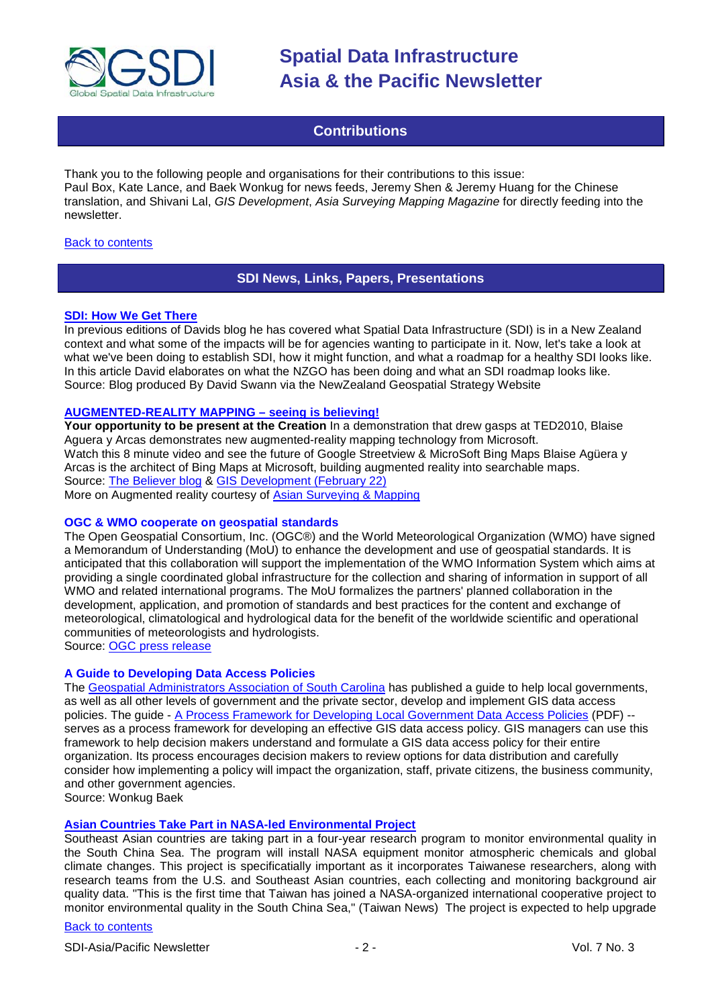

## **Contributions**

<span id="page-1-0"></span>Thank you to the following people and organisations for their contributions to this issue: Paul Box, Kate Lance, and Baek Wonkug for news feeds, Jeremy Shen & Jeremy Huang for the Chinese translation, and Shivani Lal, *GIS Development*, *Asia Surveying Mapping Magazine* for directly feeding into the newsletter.

#### <span id="page-1-1"></span>**[Back to contents](#page-0-0)**

### **SDI News, Links, Papers, Presentations**

#### **[SDI: How We Get There](http://www.geospatial.govt.nz/sdi-how-we-get-there/)**

In previous editions of Davids blog he has covered what Spatial Data Infrastructure (SDI) is in a New Zealand context and what some of the impacts will be for agencies wanting to participate in it. Now, let's take a look at what we've been doing to establish SDI, how it might function, and what a roadmap for a healthy SDI looks like. In this article David elaborates on what the NZGO has been doing and what an SDI roadmap looks like. Source: Blog produced By David Swann via the NewZealand Geospatial Strategy Website

#### **[AUGMENTED-REALITY MAPPING –](http://www.ted.com/talks/blaise_aguera.html) seeing is believing!**

**Your opportunity to be present at the Creation** In a demonstration that drew gasps at TED2010, Blaise Aguera y Arcas demonstrates new augmented-reality mapping technology from Microsoft. Watch this 8 minute video and see the future of Google Streetview & MicroSoft Bing Maps Blaise Agüera y Arcas is the architect of Bing Maps at Microsoft, building augmented reality into searchable maps. Source: [The Believer blog](http://www.thebeliever.se/smart-use-of-internet/2010/2/17/augmented-reality-mapping-will-increase-transparency-in-real.html) & [GIS Development \(February 22\)](http://www.gisdevelopment.net/ezine/weekly/feb2210.htm) More on Augmented reality courtesy of [Asian Surveying & Mapping](http://asmmag.com/features/defining-spaces-place-and-augmented-reailty)

#### **OGC & WMO cooperate on geospatial standards**

The Open Geospatial Consortium, Inc. (OGC®) and the World Meteorological Organization (WMO) have signed a Memorandum of Understanding (MoU) to enhance the development and use of geospatial standards. It is anticipated that this collaboration will support the implementation of the WMO Information System which aims at providing a single coordinated global infrastructure for the collection and sharing of information in support of all WMO and related international programs. The MoU formalizes the partners' planned collaboration in the development, application, and promotion of standards and best practices for the content and exchange of meteorological, climatological and hydrological data for the benefit of the worldwide scientific and operational communities of meteorologists and hydrologists.

Source: [OGC press release](http://www.opengeospatial.org/pressroom/pressreleases/1129)

#### **A Guide to Developing Data Access Policies**

The [Geospatial Administrators Association of South Carolina](http://www.gaa-sc.org/wp/) has published a guide to help local governments, as well as all other levels of government and the private sector, develop and implement GIS data access policies. The guide - [A Process Framework for Developing Local Government Data Access Policies](http://gis.sc.gov/documents/data_policy_framework.pdf) (PDF) - serves as a process framework for developing an effective GIS data access policy. GIS managers can use this framework to help decision makers understand and formulate a GIS data access policy for their entire organization. Its process encourages decision makers to review options for data distribution and carefully consider how implementing a policy will impact the organization, staff, private citizens, the business community, and other government agencies.

Source: Wonkug Baek

#### **[Asian Countries Take Part in NASA-led Environmental Project](http://www.asmmag.com/news/asian-countries-take-part-in-nasa-led-environmental-project)**

Southeast Asian countries are taking part in a four-year research program to monitor environmental quality in the South China Sea. The program will install NASA equipment monitor atmospheric chemicals and global climate changes. This project is specificatially important as it incorporates Taiwanese researchers, along with research teams from the U.S. and Southeast Asian countries, each collecting and monitoring background air quality data. "This is the first time that Taiwan has joined a NASA-organized international cooperative project to monitor environmental quality in the South China Sea," (Taiwan News) The project is expected to help upgrade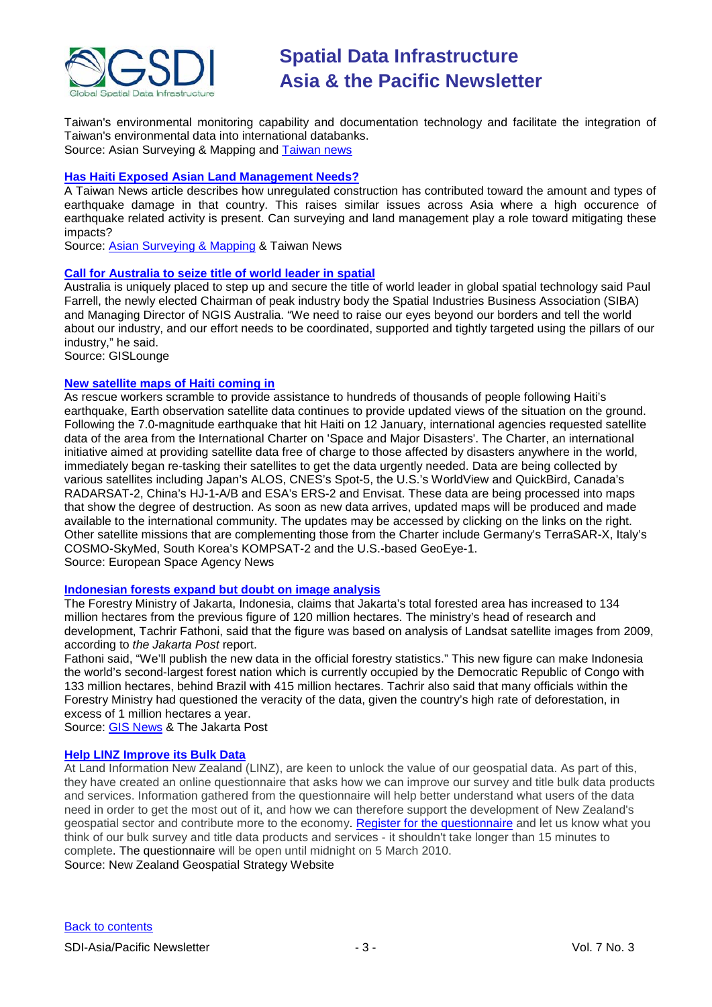

Taiwan's environmental monitoring capability and documentation technology and facilitate the integration of Taiwan's environmental data into international databanks. Source: Asian Surveying & Mapping and [Taiwan news](http://www.etaiwannews.com/etn/news_content.php?id=1171283&lang=eng_news&cate_img=273.jpg&cate_rss=news_Environmental_TAIWAN)

#### **[Has Haiti Exposed Asian Land Management Needs?](http://www.etaiwannews.com/etn/news_content.php?id=1163700&lang=eng_news&cate_rss=news_Perspective)**

A Taiwan News article describes how unregulated construction has contributed toward the amount and types of earthquake damage in that country. This raises similar issues across Asia where a high occurence of earthquake related activity is present. Can surveying and land management play a role toward mitigating these impacts?

Source: [Asian Surveying & Mapping](http://asmmag.com/news/has-haiti-exposed-asian-land-mangement-needs-) & Taiwan News

#### **[Call for Australia to seize title of world leader in spatial](http://news.gislounge.com/2010/02/call-for-australia-to-seize-title-of-world-leader-in-spatial/?utm_source=feedburner&utm_medium=feed&utm_campaign=Feed%3A+GeospatialPressReleases+%28Geospatial+Press+Releases%29)**

Australia is uniquely placed to step up and secure the title of world leader in global spatial technology said Paul Farrell, the newly elected Chairman of peak industry body the Spatial Industries Business Association (SIBA) and Managing Director of NGIS Australia. "We need to raise our eyes beyond our borders and tell the world about our industry, and our effort needs to be coordinated, supported and tightly targeted using the pillars of our industry," he said.

Source: GISLounge

#### **[New satellite maps of Haiti coming in](http://www.esa.int/esaEO/SEMDDBMJ74G_index_0.html)**

As rescue workers scramble to provide assistance to hundreds of thousands of people following Haiti's earthquake, Earth observation satellite data continues to provide updated views of the situation on the ground. Following the 7.0-magnitude earthquake that hit Haiti on 12 January, international agencies requested satellite data of the area from the International Charter on 'Space and Major Disasters'. The Charter, an international initiative aimed at providing satellite data free of charge to those affected by disasters anywhere in the world, immediately began re-tasking their satellites to get the data urgently needed. Data are being collected by various satellites including Japan's ALOS, CNES's Spot-5, the U.S.'s WorldView and QuickBird, Canada's RADARSAT-2, China's HJ-1-A/B and ESA's ERS-2 and Envisat. These data are being processed into maps that show the degree of destruction. As soon as new data arrives, updated maps will be produced and made available to the international community. The updates may be accessed by clicking on the links on the right. Other satellite missions that are complementing those from the Charter include Germany's TerraSAR-X, Italy's COSMO-SkyMed, South Korea's KOMPSAT-2 and the U.S.-based GeoEye-1. Source: European Space Agency News

**[Indonesian forests expand but doubt on image analysis](http://www.thejakartapost.com/news/2010/02/17/forests-expand-14m-hectares-ministry.html)**

The Forestry Ministry of Jakarta, Indonesia, claims that Jakarta's total forested area has increased to 134 million hectares from the previous figure of 120 million hectares. The ministry's head of research and development, Tachrir Fathoni, said that the figure was based on analysis of Landsat satellite images from 2009, according to *the Jakarta Post* report.

Fathoni said, "We'll publish the new data in the official forestry statistics." This new figure can make Indonesia the world's second-largest forest nation which is currently occupied by the Democratic Republic of Congo with 133 million hectares, behind Brazil with 415 million hectares. Tachrir also said that many officials within the Forestry Ministry had questioned the veracity of the data, given the country's high rate of deforestation, in excess of 1 million hectares a year.

Source: [GIS News](http://www.gisdevelopment.net/news/viewn.asp?id=GIS:N_alinhqjkbs&Ezine=feb2210§ion=News) & The Jakarta Post

### **[Help LINZ Improve its Bulk Data](http://www.geospatial.govt.nz/help-linz-improve-its-bulk-data/)**

At Land Information New Zealand (LINZ), are keen to unlock the value of our geospatial data. As part of this, they have created an online questionnaire that asks how we can improve our survey and title bulk data products and services. Information gathered from the questionnaire will help better understand what users of the data need in order to get the most out of it, and how we can therefore support the development of New Zealand's geospatial sector and contribute more to the economy. Register [for the questionnaire](https://survey.researchnz.com/mrIWeb/mrIWeb.dll?I.Project=W4058Reg) and let us know what you think of our bulk survey and title data products and services - it shouldn't take longer than 15 minutes to complete. [The questionnaire](https://survey.researchnz.com/mrIWeb/mrIWeb.dll?I.Project=W4058Reg) will be open until midnight on 5 March 2010. Source: New Zealand Geospatial Strategy Website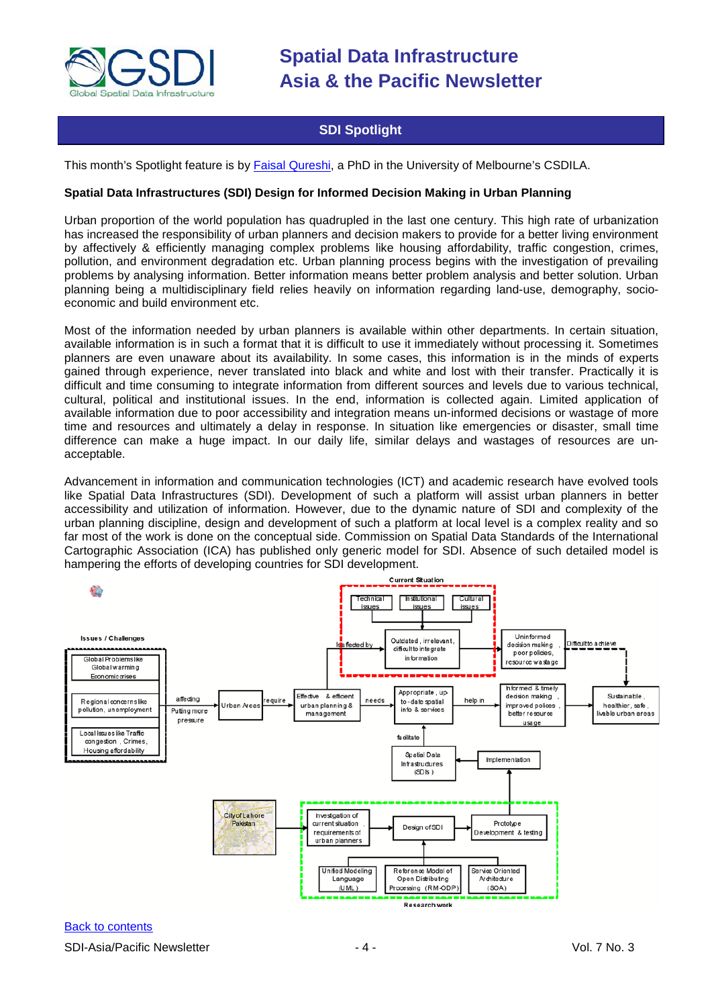

# **SDI Spotlight**

<span id="page-3-0"></span>This month's Spotlight feature is by Faisal [Qureshi,](mailto:f.qureshi@pgrad.unimelb.edu.au) a PhD in the University of Melbourne's CSDILA.

#### **Spatial Data Infrastructures (SDI) Design for Informed Decision Making in Urban Planning**

Urban proportion of the world population has quadrupled in the last one century. This high rate of urbanization has increased the responsibility of urban planners and decision makers to provide for a better living environment by affectively & efficiently managing complex problems like housing affordability, traffic congestion, crimes, pollution, and environment degradation etc. Urban planning process begins with the investigation of prevailing problems by analysing information. Better information means better problem analysis and better solution. Urban planning being a multidisciplinary field relies heavily on information regarding land-use, demography, socioeconomic and build environment etc.

Most of the information needed by urban planners is available within other departments. In certain situation, available information is in such a format that it is difficult to use it immediately without processing it. Sometimes planners are even unaware about its availability. In some cases, this information is in the minds of experts gained through experience, never translated into black and white and lost with their transfer. Practically it is difficult and time consuming to integrate information from different sources and levels due to various technical, cultural, political and institutional issues. In the end, information is collected again. Limited application of available information due to poor accessibility and integration means un-informed decisions or wastage of more time and resources and ultimately a delay in response. In situation like emergencies or disaster, small time difference can make a huge impact. In our daily life, similar delays and wastages of resources are unacceptable.

Advancement in information and communication technologies (ICT) and academic research have evolved tools like Spatial Data Infrastructures (SDI). Development of such a platform will assist urban planners in better accessibility and utilization of information. However, due to the dynamic nature of SDI and complexity of the urban planning discipline, design and development of such a platform at local level is a complex reality and so far most of the work is done on the conceptual side. Commission on Spatial Data Standards of the International Cartographic Association (ICA) has published only generic model for SDI. Absence of such detailed model is hampering the efforts of developing countries for SDI development.

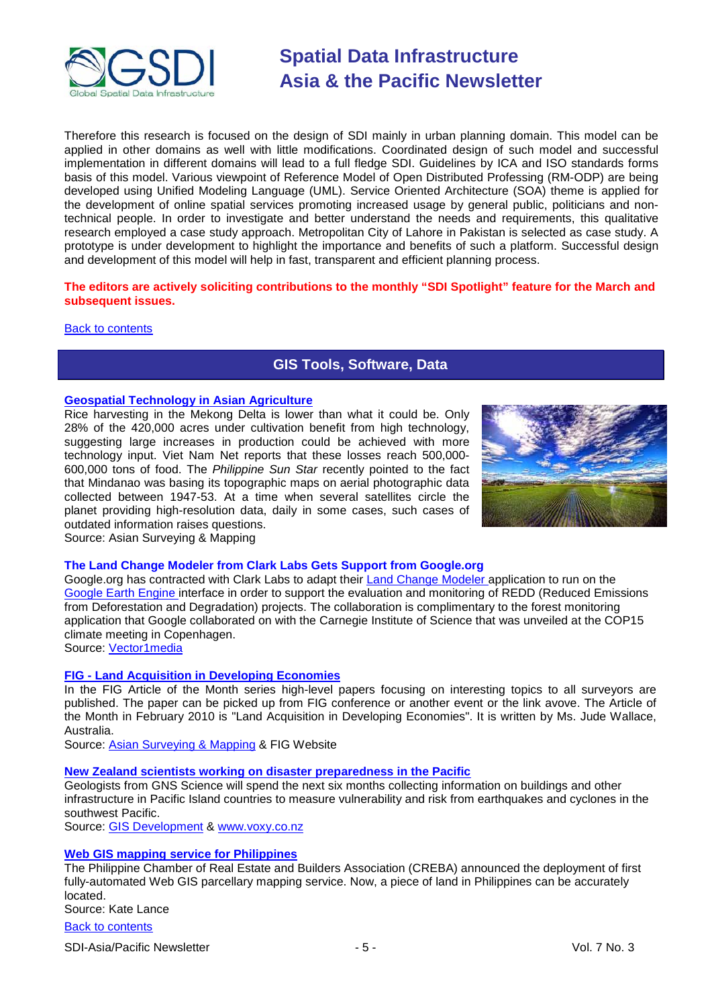

Therefore this research is focused on the design of SDI mainly in urban planning domain. This model can be applied in other domains as well with little modifications. Coordinated design of such model and successful implementation in different domains will lead to a full fledge SDI. Guidelines by ICA and ISO standards forms basis of this model. Various viewpoint of Reference Model of Open Distributed Professing (RM-ODP) are being developed using Unified Modeling Language (UML). Service Oriented Architecture (SOA) theme is applied for the development of online spatial services promoting increased usage by general public, politicians and nontechnical people. In order to investigate and better understand the needs and requirements, this qualitative research employed a case study approach. Metropolitan City of Lahore in Pakistan is selected as case study. A prototype is under development to highlight the importance and benefits of such a platform. Successful design and development of this model will help in fast, transparent and efficient planning process.

### **The editors are actively soliciting contributions to the monthly "SDI Spotlight" feature for the March and subsequent issues.**

<span id="page-4-0"></span>[Back to contents](#page-0-0)

# **GIS Tools, Software, Data**

### **[Geospatial Technology in Asian Agriculture](http://asmmag.com/features/geospatial-technology-in-asian-agriculture-)**

Rice harvesting in the Mekong Delta is lower than what it could be. Only 28% of the 420,000 acres under cultivation benefit from high technology, suggesting large increases in production could be achieved with more technology input. Viet Nam Net reports that these losses reach 500,000- 600,000 tons of food. The *Philippine Sun Star* recently pointed to the fact that Mindanao was basing its topographic maps on aerial photographic data collected between 1947-53. At a time when several satellites circle the planet providing high-resolution data, daily in some cases, such cases of outdated information raises questions. Source: Asian Surveying & Mapping



#### **The Land Change Modeler from Clark Labs Gets Support from Google.org**

Google.org has contracted with Clark Labs to adapt their [Land Change Modeler a](http://www.clarklabs.org/products/Land-Change-Modeler-Overview.cfm)pplication to run on the [Google Earth Engine in](http://blog.google.org/2009/12/earth-engine-powered-by-google.html)terface in order to support the evaluation and monitoring of REDD (Reduced Emissions from Deforestation and Degradation) projects. The collaboration is complimentary to the forest monitoring application that Google collaborated on with the Carnegie Institute of Science that was unveiled at the COP15 climate meeting in Copenhagen.

Source: [Vector1media](http://vector1media.com/spatialsustain/the-land-change-modeler-from-clark-labs-gets-support-from-google-org.html)

#### **FIG - [Land Acquisition in Developing Economies](http://www.fig.net/pub/monthly_articles/february_2010/february_2010_wallace.html)**

In the FIG Article of the Month series high-level papers focusing on interesting topics to all surveyors are published. The paper can be picked up from FIG conference or another event or the link avove. The Article of the Month in February 2010 is "Land Acquisition in Developing Economies". It is written by Ms. Jude Wallace, Australia.

Source: [Asian Surveying & Mapping](http://asmmag.com/news/fig-land-acquisition-in-developing-economies) & FIG Website

#### **[New Zealand scientists working on disaster preparedness in the Pacific](http://www.voxy.co.nz/national/nz-scientists-gather-information-disaster-preparedness-pacific/5/37749)**

Geologists from GNS Science will spend the next six months collecting information on buildings and other infrastructure in Pacific Island countries to measure vulnerability and risk from earthquakes and cyclones in the southwest Pacific.

Source: [GIS Development](http://www.gisdevelopment.net/news/viewn.asp?id=GIS:N_jbopsmirul&Ezine=feb1510§ion=News) & [www.voxy.co.nz](http://www.voxy.co.nz/)

#### **[Web GIS mapping service for Philippines](http://www.mb.com.ph/articles/242175/creba-launches-web-mapping-service)**

The Philippine Chamber of Real Estate and Builders Association (CREBA) announced the deployment of first fully-automated Web GIS parcellary mapping service. Now, a piece of land in Philippines can be accurately located.

Source: Kate Lance

[Back to contents](#page-0-0)

SDI-Asia/Pacific Newsletter  $\sim$  5 - Section 1.5 - Vol. 7 No. 3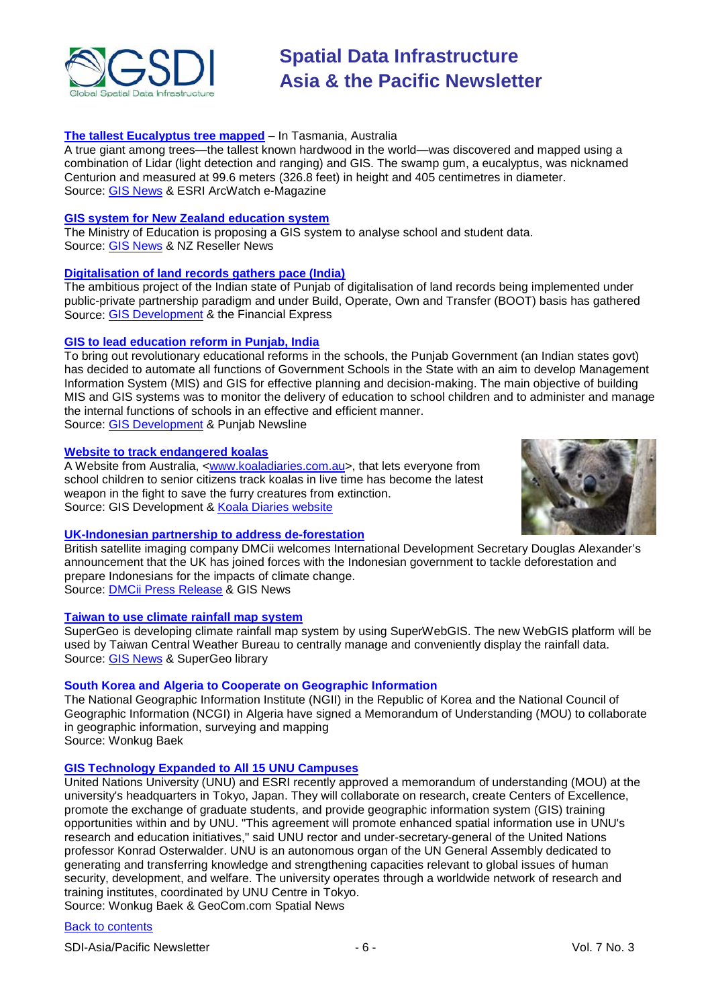

### **[The tallest Eucalyptus tree mapped](http://www.esri.com/news/arcwatch/0210/the-centurion.html)** – In Tasmania, Australia

A true giant among trees—the tallest known hardwood in the world—was discovered and mapped using a combination of Lidar (light detection and ranging) and GIS. The swamp gum, a eucalyptus, was nicknamed Centurion and measured at 99.6 meters (326.8 feet) in height and 405 centimetres in diameter. Source: [GIS News](http://www.gisdevelopment.net/news/viewn.asp?id=GIS:N_kaufvrjdhw) & ESRI ArcWatch e-Magazine

#### **[GIS system for New Zealand education system](http://reseller.co.nz/reseller.nsf/news/A6C24F5D51783B11CC2576D1007020E3)**

The Ministry of Education is proposing a GIS system to analyse school and student data. Source: [GIS News](http://www.gisdevelopment.net/news/viewn.asp?id=GIS:N_dfsjkxluyw) & NZ Reseller News

#### **[Digitalisation of land records gathers pace \(India\)](http://www.financialexpress.com/news/Digitalisation-of-land-records-gathers-pace/579629/)**

The ambitious project of the Indian state of Punjab of digitalisation of land records being implemented under public-private partnership paradigm and under Build, Operate, Own and Transfer (BOOT) basis has gathered Source: [GIS Development](http://www.gisdevelopment.net/news/viewn.asp?id=GIS:N_smdgvqiwna&Ezine=feb2210§ion=News) & the Financial Express

#### **[GIS to lead education reform in Punjab, India](http://www.punjabnewsline.com/content/view/23405/38/)**

To bring out revolutionary educational reforms in the schools, the Punjab Government (an Indian states govt) has decided to automate all functions of Government Schools in the State with an aim to develop Management Information System (MIS) and GIS for effective planning and decision-making. The main objective of building MIS and GIS systems was to monitor the delivery of education to school children and to administer and manage the internal functions of schools in an effective and efficient manner. Source: [GIS Development](http://www.gisdevelopment.net/news/viewn.asp?id=GIS:N_lhsjnbyivq&Ezine=feb2210§ion=News) & Punjab Newsline

#### **[Website to track endangered koalas](http://www.gisdevelopment.net/news/viewn.asp?id=GIS:N_qoivkjhsyt&Ezine=feb2210§ion=News)**

A Website from Australia, [<www.koaladiaries.com.au>](http://www.koaladiaries.com.au/), that lets everyone from school children to senior citizens track koalas in live time has become the latest weapon in the fight to save the furry creatures from extinction. Source: GIS Development & [Koala Diaries website](http://www.koaladiaries.com.au/Home.htm)



### **[UK-Indonesian partnership to address de-forestation](http://www.gisdevelopment.net/news/viewn.asp?id=GIS:N_mknbihgfdj&Ezine=feb1510§ion=News)**

British satellite imaging company DMCii welcomes International Development Secretary Douglas Alexander's announcement that the UK has joined forces with the Indonesian government to tackle deforestation and prepare Indonesians for the impacts of climate change. Source: [DMCii Press Release](http://www.technologynewsroom.com/press_releases/company_releases.aspx?lang=English(uk)&story=1530) & GIS News

#### **[Taiwan to use climate rainfall map system](http://www.supergeotek.com/Library_2_201002.aspx)**

SuperGeo is developing climate rainfall map system by using SuperWebGIS. The new WebGIS platform will be used by Taiwan Central Weather Bureau to centrally manage and conveniently display the rainfall data. Source: [GIS News](http://www.gisdevelopment.net/news/viewn.asp?id=GIS:N_lfzqnxirbc&Ezine=feb1510§ion=News) & SuperGeo library

#### **South Korea and Algeria to Cooperate on Geographic Information**

The National Geographic Information Institute (NGII) in the Republic of Korea and the National Council of Geographic Information (NCGI) in Algeria have signed a Memorandum of Understanding (MOU) to collaborate in geographic information, surveying and mapping Source: Wonkug Baek

#### **[GIS Technology Expanded to All 15 UNU Campuses](http://spatialnews.geocomm.com/dailynews/2010/feb/22/news4.html)**

United Nations University (UNU) and ESRI recently approved a memorandum of understanding (MOU) at the university's headquarters in Tokyo, Japan. They will collaborate on research, create Centers of Excellence, promote the exchange of graduate students, and provide geographic information system (GIS) training opportunities within and by UNU. "This agreement will promote enhanced spatial information use in UNU's research and education initiatives," said UNU rector and under-secretary-general of the United Nations professor Konrad Osterwalder. UNU is an autonomous organ of the UN General Assembly dedicated to generating and transferring knowledge and strengthening capacities relevant to global issues of human security, development, and welfare. The university operates through a worldwide network of research and training institutes, coordinated by UNU Centre in Tokyo.

Source: Wonkug Baek & GeoCom.com Spatial News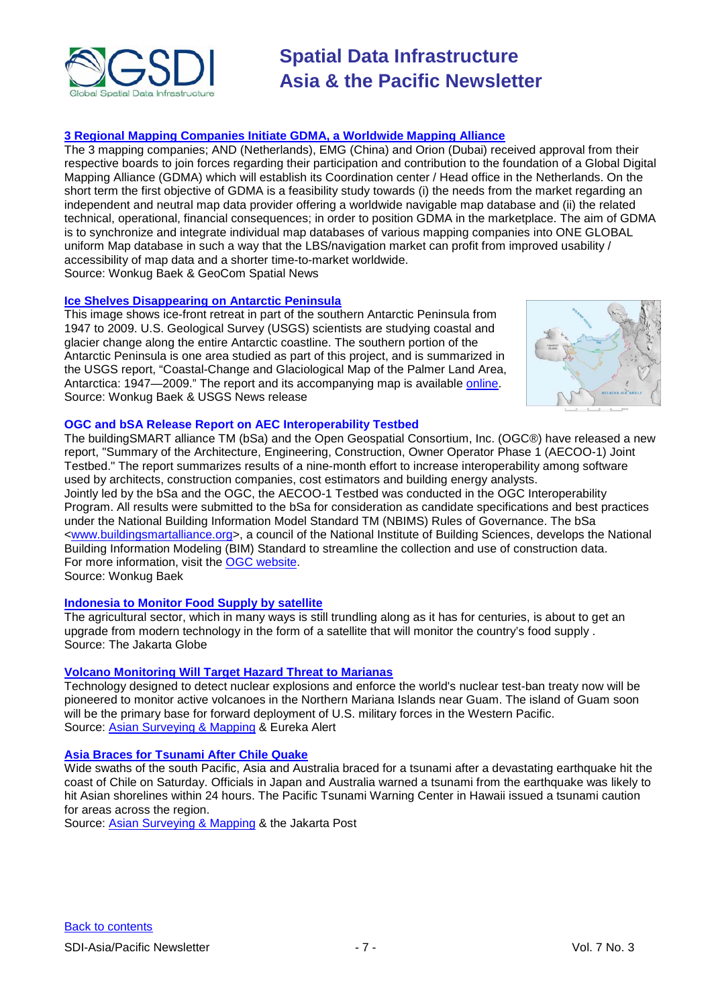

### **[3 Regional Mapping Companies Initiate GDMA, a Worldwide Mapping Alliance](http://spatialnews.geocomm.com/dailynews/2010/feb/22/news3.html)**

The 3 mapping companies; AND (Netherlands), EMG (China) and Orion (Dubai) received approval from their respective boards to join forces regarding their participation and contribution to the foundation of a Global Digital Mapping Alliance (GDMA) which will establish its Coordination center / Head office in the Netherlands. On the short term the first objective of GDMA is a feasibility study towards (i) the needs from the market regarding an independent and neutral map data provider offering a worldwide navigable map database and (ii) the related technical, operational, financial consequences; in order to position GDMA in the marketplace. The aim of GDMA is to synchronize and integrate individual map databases of various mapping companies into ONE GLOBAL uniform Map database in such a way that the LBS/navigation market can profit from improved usability / accessibility of map data and a shorter time-to-market worldwide. Source: Wonkug Baek & GeoCom Spatial News

#### **[Ice Shelves Disappearing on Antarctic Peninsula](http://www.usgs.gov/newsroom/article.asp?ID=2409&from=rss_home)**

This image shows ice-front retreat in part of the southern Antarctic Peninsula from 1947 to 2009. U.S. Geological Survey (USGS) scientists are studying coastal and glacier change along the entire Antarctic coastline. The southern portion of the Antarctic Peninsula is one area studied as part of this project, and is summarized in the USGS report, "Coastal-Change and Glaciological Map of the Palmer Land Area, Antarctica: 1947-2009." The report and its accompanying map is available [online.](http://pubs.usgs.gov/imap/i-2600-c/) Source: Wonkug Baek & USGS News release



### **OGC and bSA Release Report on AEC Interoperability Testbed**

The buildingSMART alliance TM (bSa) and the Open Geospatial Consortium, Inc. (OGC®) have released a new report, "Summary of the Architecture, Engineering, Construction, Owner Operator Phase 1 (AECOO-1) Joint Testbed." The report summarizes results of a nine-month effort to increase interoperability among software used by architects, construction companies, cost estimators and building energy analysts. Jointly led by the bSa and the OGC, the AECOO-1 Testbed was conducted in the OGC Interoperability Program. All results were submitted to the bSa for consideration as candidate specifications and best practices under the National Building Information Model Standard TM (NBIMS) Rules of Governance. The bSa [<www.buildingsmartalliance.org>](http://www.buildingsmartalliance.org/), a council of the National Institute of Building Sciences, develops the National Building Information Modeling (BIM) Standard to streamline the collection and use of construction data. For more information, visit the [OGC website.](http://www.opengeospatial.org/)

Source: Wonkug Baek

#### **[Indonesia to Monitor Food Supply by satellite](http://asmmag.com/news/indonesia-to-monitor-food-supply-by-satellite)**

The agricultural sector, which in many ways is still trundling along as it has for centuries, is about to get an upgrade from modern technology in the form of a satellite that will monitor the country's food supply . Source: The Jakarta Globe

#### **[Volcano Monitoring Will Target Hazard Threat to Marianas](http://www.eurekalert.org/pub_releases/2010-02/smu-vmw022510.php)**

Technology designed to detect nuclear explosions and enforce the world's nuclear test-ban treaty now will be pioneered to monitor active volcanoes in the Northern Mariana Islands near Guam. The island of Guam soon will be the primary base for forward deployment of U.S. military forces in the Western Pacific. Source: [Asian Surveying & Mapping](http://asmmag.com/news/volcano-monitoring-will-target-hazard-threat-to-marianas) & Eureka Alert

#### **[Asia Braces for Tsunami After Chile Quake](http://www.thejakartapost.com/news/2010/02/27/asia-braces-tsunami-after-chile-quake.html)**

Wide swaths of the south Pacific, Asia and Australia braced for a tsunami after a devastating earthquake hit the coast of Chile on Saturday. Officials in Japan and Australia warned a tsunami from the earthquake was likely to hit Asian shorelines within 24 hours. The Pacific Tsunami Warning Center in Hawaii issued a tsunami caution for areas across the region.

Source: [Asian Surveying & Mapping](http://asmmag.com/news/asia-braces-for-tsunami-after-chile-quake-) & the Jakarta Post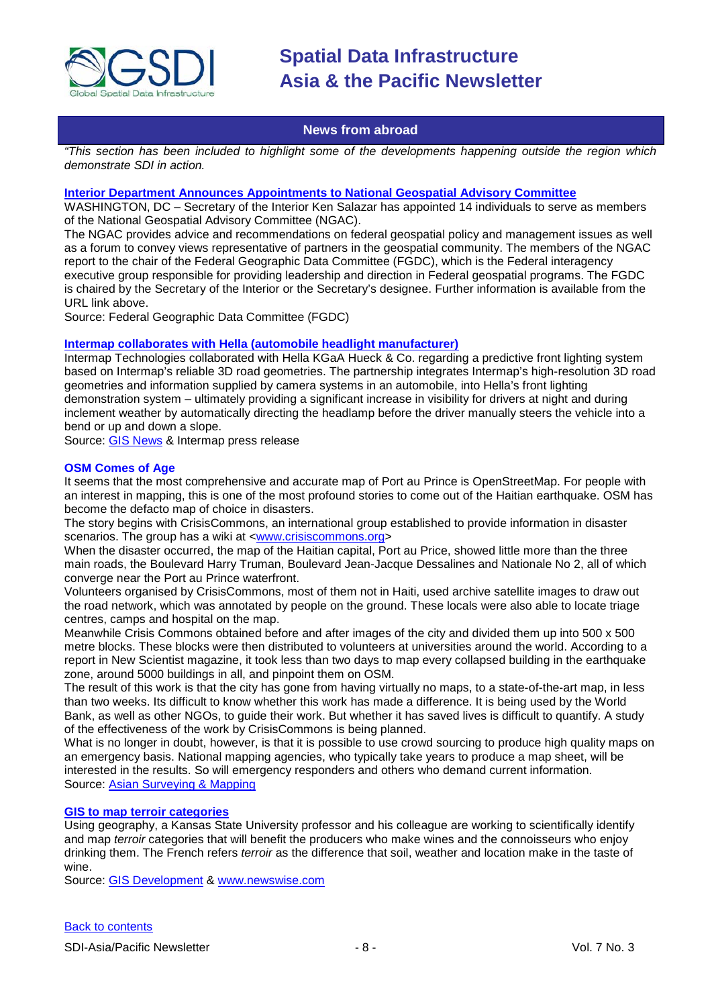

### **News from abroad**

<span id="page-7-0"></span>*"This section has been included to highlight some of the developments happening outside the region which demonstrate SDI in action.*

#### **[Interior Department Announces Appointments to National Geospatial Advisory Committee](http://www.fgdc.gov/fgdc-news/announcing-new-appointments-to-ngac)**

WASHINGTON, DC – Secretary of the Interior Ken Salazar has appointed 14 individuals to serve as members of the National Geospatial Advisory Committee (NGAC).

The NGAC provides advice and recommendations on federal geospatial policy and management issues as well as a forum to convey views representative of partners in the geospatial community. The members of the NGAC report to the chair of the Federal Geographic Data Committee (FGDC), which is the Federal interagency executive group responsible for providing leadership and direction in Federal geospatial programs. The FGDC is chaired by the Secretary of the Interior or the Secretary's designee. Further information is available from the URL link above.

Source: Federal Geographic Data Committee (FGDC)

#### **[Intermap collaborates with Hella \(automobile headlight manufacturer\)](http://www.intermap.com/interior.php/pid/1/sid/306/tid/245/nid/2291)**

Intermap Technologies collaborated with Hella KGaA Hueck & Co. regarding a predictive front lighting system based on Intermap's reliable 3D road geometries. The partnership integrates Intermap's high-resolution 3D road geometries and information supplied by camera systems in an automobile, into Hella's front lighting demonstration system – ultimately providing a significant increase in visibility for drivers at night and during inclement weather by automatically directing the headlamp before the driver manually steers the vehicle into a bend or up and down a slope.

Source: [GIS News](http://www.gisdevelopment.net/news/viewn.asp?id=GIS:N_hflbwmoirn&Ezine=feb0110§ion=News) & Intermap press release

#### **OSM Comes of Age**

It seems that the most comprehensive and accurate map of Port au Prince is OpenStreetMap. For people with an interest in mapping, this is one of the most profound stories to come out of the Haitian earthquake. OSM has become the defacto map of choice in disasters.

The story begins with CrisisCommons, an international group established to provide information in disaster scenarios. The group has a wiki at [<www.crisiscommons.org>](http://www.crisiscommons.org/)

When the disaster occurred, the map of the Haitian capital, Port au Price, showed little more than the three main roads, the Boulevard Harry Truman, Boulevard Jean-Jacque Dessalines and Nationale No 2, all of which converge near the Port au Prince waterfront.

Volunteers organised by CrisisCommons, most of them not in Haiti, used archive satellite images to draw out the road network, which was annotated by people on the ground. These locals were also able to locate triage centres, camps and hospital on the map.

Meanwhile Crisis Commons obtained before and after images of the city and divided them up into 500 x 500 metre blocks. These blocks were then distributed to volunteers at universities around the world. According to a report in New Scientist magazine, it took less than two days to map every collapsed building in the earthquake zone, around 5000 buildings in all, and pinpoint them on OSM.

The result of this work is that the city has gone from having virtually no maps, to a state-of-the-art map, in less than two weeks. Its difficult to know whether this work has made a difference. It is being used by the World Bank, as well as other NGOs, to guide their work. But whether it has saved lives is difficult to quantify. A study of the effectiveness of the work by CrisisCommons is being planned.

What is no longer in doubt, however, is that it is possible to use crowd sourcing to produce high quality maps on an emergency basis. National mapping agencies, who typically take years to produce a map sheet, will be interested in the results. So will emergency responders and others who demand current information. Source: [Asian Surveying & Mapping](http://asmmag.com/news/osm-comes-of-age)

#### **[GIS to map terroir categories](http://www.newswise.com/articles/k-state-professor-colleague-use-geographic-information-systems-to-quantify-impact-of-place-on-french-wine)**

Using geography, a Kansas State University professor and his colleague are working to scientifically identify and map *terroir* categories that will benefit the producers who make wines and the connoisseurs who enjoy drinking them. The French refers *terroir* as the difference that soil, weather and location make in the taste of wine.

Source: [GIS Development](http://www.gisdevelopment.net/news/viewn.asp?id=GIS:N_tdqocpvgml) & [www.newswise.com](http://www.newswise.com/)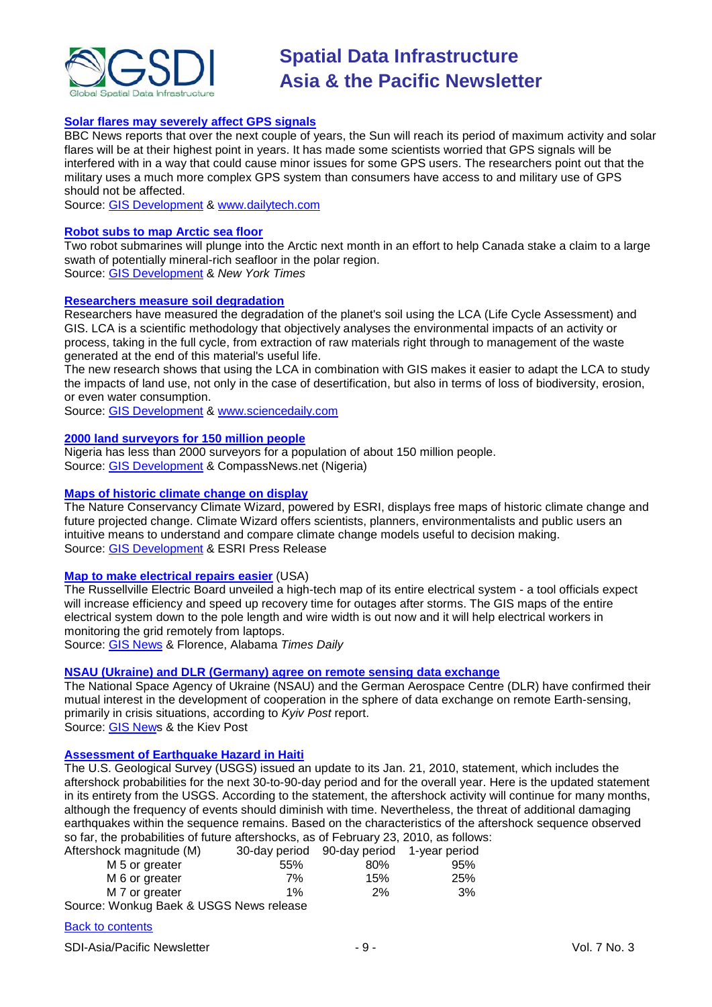

#### **[Solar flares may severely affect GPS signals](http://www.dailytech.com/High+Solar+Activity+Could+Interfere+with+GPS+Signals/article17657.htm)**

BBC News reports that over the next couple of years, the Sun will reach its period of maximum activity and solar flares will be at their highest point in years. It has made some scientists worried that GPS signals will be interfered with in a way that could cause minor issues for some GPS users. The researchers point out that the military uses a much more complex GPS system than consumers have access to and military use of GPS should not be affected.

Source: [GIS Development](http://www.gisdevelopment.net/news/viewn.asp?id=GIS:N_yroxbveqli&Ezine=feb1510§ion=News) & [www.dailytech.com](http://www.dailytech.com/)

#### **[Robot subs to map Arctic sea floor](http://www.nytimes.com/gwire/2010/02/10/10greenwire-canada-will-use-robot-subs-to-map-arctic-sea-f-45098.html)**

Two robot submarines will plunge into the Arctic next month in an effort to help Canada stake a claim to a large swath of potentially mineral-rich seafloor in the polar region. Source: [GIS Development](http://www.gisdevelopment.net/news/viewn.asp?id=GIS:N_yjqluogpbt&Ezine=feb1510§ion=News) & *New York Times*

#### **[Researchers measure soil degradation](http://www.sciencedaily.com/releases/2010/02/100209183133.htm)**

Researchers have measured the degradation of the planet's soil using the LCA (Life Cycle Assessment) and GIS. LCA is a scientific methodology that objectively analyses the environmental impacts of an activity or process, taking in the full cycle, from extraction of raw materials right through to management of the waste generated at the end of this material's useful life.

The new research shows that using the LCA in combination with GIS makes it easier to adapt the LCA to study the impacts of land use, not only in the case of desertification, but also in terms of loss of biodiversity, erosion, or even water consumption.

Source: [GIS Development](http://www.gisdevelopment.net/news/viewn.asp?id=GIS:N_olpftvcexk&Ezine=feb1510§ion=News) & [www.sciencedaily.com](http://www.sciencedaily.com/)

#### **[2000 land surveyors for 150 million people](http://compassnews.net/Ng/index.php?option=com_content&view=article&id=39928:we-have-less-than-2000-land-surveyors-in-nigeria-says-lagos-nis-boss&catid=72:property&Itemid=710)**

Nigeria has less than 2000 surveyors for a population of about 150 million people. Source: [GIS Development](http://www.gisdevelopment.net/news/viewn.asp?id=GIS:N_lvihytjqwu&Ezine=feb0810§ion%20=News) & CompassNews.net (Nigeria)

#### **[Maps of historic climate change on display](http://www.esri.com/news/releases/10_1qtr/trend-analysis.html)**

The Nature Conservancy Climate Wizard, powered by ESRI, displays free maps of historic climate change and future projected change. Climate Wizard offers scientists, planners, environmentalists and public users an intuitive means to understand and compare climate change models useful to decision making. Source: [GIS Development](http://www.gisdevelopment.net/news/viewn.asp?id=GIS:N_eusbkxvnph&Ezine=feb0810§ion%20=News) & ESRI Press Release

#### **[Map to make electrical repairs easier](http://www.timesdaily.com/article/20100220/ARTICLES/2205028/1011/NEWS?Title=Board-unveils-map-that-will-make-repairs-easier)** (USA)

The Russellville Electric Board unveiled a high-tech map of its entire electrical system - a tool officials expect will increase efficiency and speed up recovery time for outages after storms. The GIS maps of the entire electrical system down to the pole length and wire width is out now and it will help electrical workers in monitoring the grid remotely from laptops.

Source: [GIS News](http://www.gisdevelopment.net/news/viewn.asp?id=GIS:N_caegbjqrhw) & Florence, Alabama *Times Daily*

### **[NSAU \(Ukraine\) and DLR \(Germany\) agree on remote sensing data exchange](http://www.kyivpost.com/news/nation/detail/60303/)**

The National Space Agency of Ukraine (NSAU) and the German Aerospace Centre (DLR) have confirmed their mutual interest in the development of cooperation in the sphere of data exchange on remote Earth-sensing, primarily in crisis situations, according to *Kyiv Post* report.

Source: [GIS News](http://www.gisdevelopment.net/news/viewn.asp?id=GIS:N_vgneyzsldk) & the Kiev Post

### **[Assessment of Earthquake Hazard in Haiti](http://www.usgs.gov/newsroom/article.asp?ID=2413)**

The U.S. Geological Survey (USGS) issued an update to its Jan. 21, 2010, statement, which includes the aftershock probabilities for the next 30-to-90-day period and for the overall year. Here is the updated statement in its entirety from the USGS. According to the statement, the aftershock activity will continue for many months, although the frequency of events should diminish with time. Nevertheless, the threat of additional damaging earthquakes within the sequence remains. Based on the characteristics of the aftershock sequence observed so far, the probabilities of future aftershocks, as of February 23, 2010, as follows:

| Aftershock magnitude (M)                 |       | 30-day period 90-day period 1-year period |     |
|------------------------------------------|-------|-------------------------------------------|-----|
| M 5 or greater                           | 55%   | 80%                                       | 95% |
| M 6 or greater                           | 7%    | 15%                                       | 25% |
| M 7 or greater                           | $1\%$ | 2%                                        | 3%  |
| Course: Wanking Book & HCCC Nous relaces |       |                                           |     |

Source: Wonkug Baek & USGS News release

#### [Back to contents](#page-0-0)

SDI-Asia/Pacific Newsletter  $\overline{9}$  - 9 -  $\overline{9}$  - 9 -  $\overline{9}$  Vol. 7 No. 3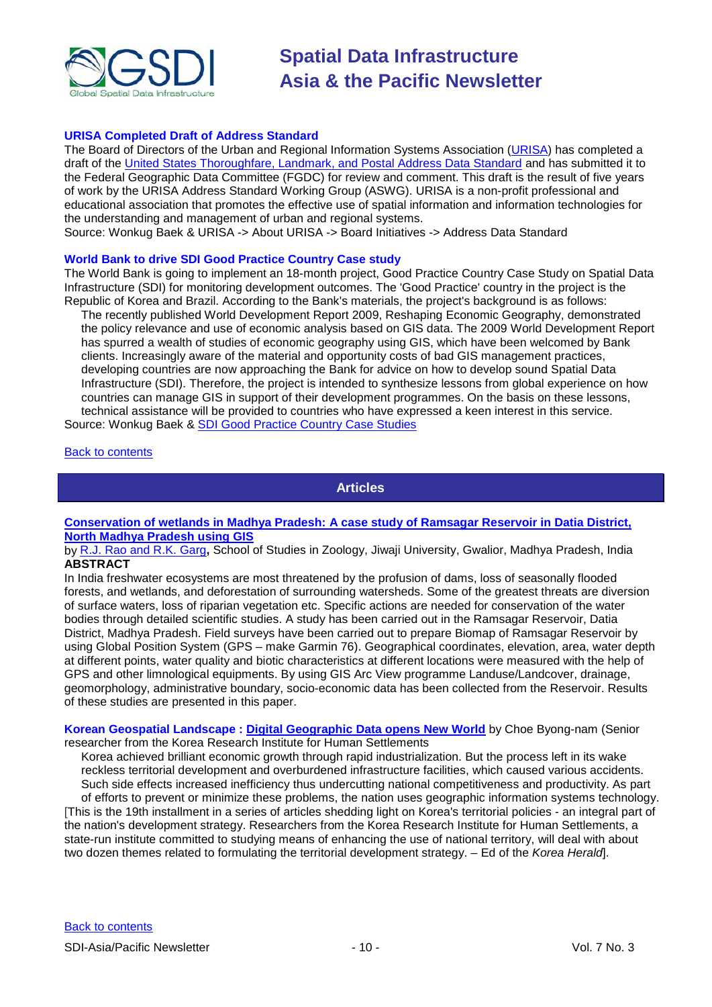

#### **URISA Completed Draft of Address Standard**

The Board of Directors of the Urban and Regional Information Systems Association [\(URISA\)](http://www.urisa.org/) has completed a draft of the [United States Thoroughfare, Landmark, and Postal Address Data Standard](http://www.urisa.org/about/initiatives/addressstandard) and has submitted it to the Federal Geographic Data Committee (FGDC) for review and comment. This draft is the result of five years of work by the URISA Address Standard Working Group (ASWG). URISA is a non-profit professional and educational association that promotes the effective use of spatial information and information technologies for the understanding and management of urban and regional systems.

Source: Wonkug Baek & URISA -> About URISA -> Board Initiatives -> Address Data Standard

#### **World Bank to drive SDI Good Practice Country Case study**

The World Bank is going to implement an 18-month project, Good Practice Country Case Study on Spatial Data Infrastructure (SDI) for monitoring development outcomes. The 'Good Practice' country in the project is the Republic of Korea and Brazil. According to the Bank's materials, the project's background is as follows:

The recently published World Development Report 2009, Reshaping Economic Geography, demonstrated the policy relevance and use of economic analysis based on GIS data. The 2009 World Development Report has spurred a wealth of studies of economic geography using GIS, which have been welcomed by Bank clients. Increasingly aware of the material and opportunity costs of bad GIS management practices, developing countries are now approaching the Bank for advice on how to develop sound Spatial Data Infrastructure (SDI). Therefore, the project is intended to synthesize lessons from global experience on how countries can manage GIS in support of their development programmes. On the basis on these lessons, technical assistance will be provided to countries who have expressed a keen interest in this service. Source: Wonkug Baek & [SDI Good Practice Country Case Studies](http://www.gsdi.org/node/250)

#### <span id="page-9-0"></span>[Back to contents](#page-0-0)

**Articles**

#### **[Conservation of wetlands in Madhya Pradesh: A case study of Ramsagar Reservoir in Datia District,](http://www.gisdevelopment.net/application/environment/wetland/Conservation-of-wetlands-in-Madhya-Pradesh-A-case-study-of-Ramsagar-Reservoir-in-Datia-District.htm)  [North Madhya Pradesh using GIS](http://www.gisdevelopment.net/application/environment/wetland/Conservation-of-wetlands-in-Madhya-Pradesh-A-case-study-of-Ramsagar-Reservoir-in-Datia-District.htm)**

by [R.J. Rao and R.K. Garg](mailto:soszool@rediffmail.com)**,** School of Studies in Zoology, Jiwaji University, Gwalior, Madhya Pradesh, India **ABSTRACT**

In India freshwater ecosystems are most threatened by the profusion of dams, loss of seasonally flooded forests, and wetlands, and deforestation of surrounding watersheds. Some of the greatest threats are diversion of surface waters, loss of riparian vegetation etc. Specific actions are needed for conservation of the water bodies through detailed scientific studies. A study has been carried out in the Ramsagar Reservoir, Datia District, Madhya Pradesh. Field surveys have been carried out to prepare Biomap of Ramsagar Reservoir by using Global Position System (GPS – make Garmin 76). Geographical coordinates, elevation, area, water depth at different points, water quality and biotic characteristics at different locations were measured with the help of GPS and other limnological equipments. By using GIS Arc View programme Landuse/Landcover, drainage, geomorphology, administrative boundary, socio-economic data has been collected from the Reservoir. Results of these studies are presented in this paper.

**Korean Geospatial Landscape : [Digital Geographic Data opens New World](http://www.koreaherald.co.kr/NEWKHSITE/data/html_dir/2010/01/25/201001250062.asp)** by Choe Byong-nam (Senior researcher from the Korea Research Institute for Human Settlements

Korea achieved brilliant economic growth through rapid industrialization. But the process left in its wake reckless territorial development and overburdened infrastructure facilities, which caused various accidents. Such side effects increased inefficiency thus undercutting national competitiveness and productivity. As part of efforts to prevent or minimize these problems, the nation uses geographic information systems technology.

[This is the 19th installment in a series of articles shedding light on Korea's territorial policies - an integral part of the nation's development strategy. Researchers from the Korea Research Institute for Human Settlements, a state-run institute committed to studying means of enhancing the use of national territory, will deal with about two dozen themes related to formulating the territorial development strategy. – Ed of the *Korea Herald*].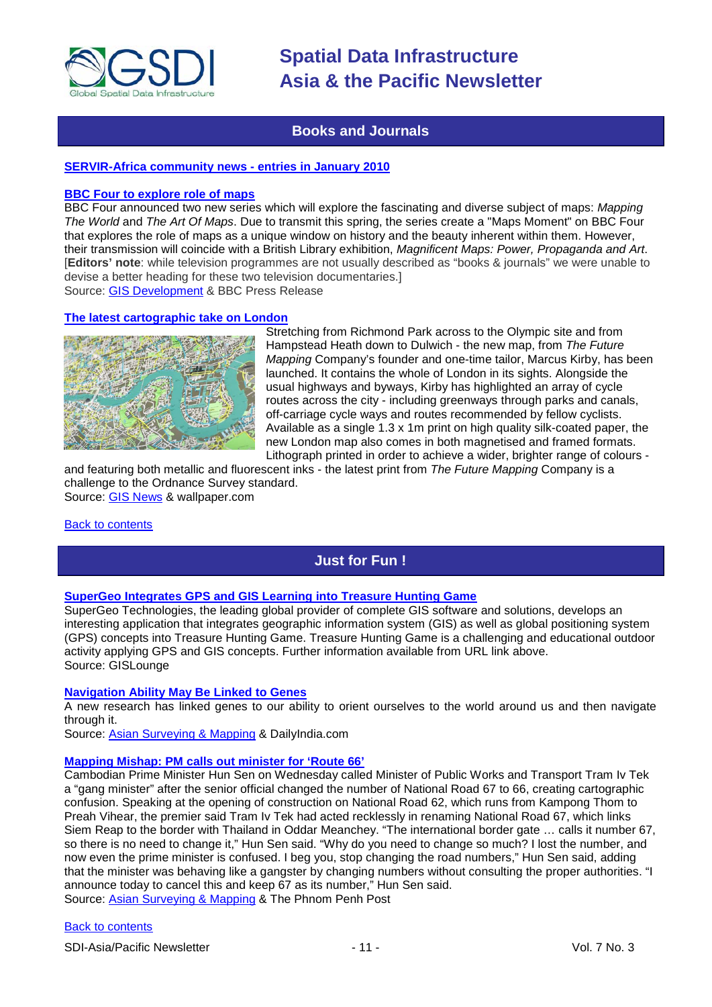

## **Books and Journals**

#### <span id="page-10-0"></span>**[SERVIR-Africa community news -](http://www.servir.net/africa/index.php?option=com_mamblog&Itemid=54&task=show&action=all&id=0&ignorecount=1) entries in January 2010**

#### **[BBC Four to explore role of maps](http://www.bbc.co.uk/pressoffice/pressreleases/stories/2010/01_january/26/maps.shtml)**

BBC Four announced two new series which will explore the fascinating and diverse subject of maps: *Mapping The World* and *The Art Of Maps*. Due to transmit this spring, the series create a "Maps Moment" on BBC Four that explores the role of maps as a unique window on history and the beauty inherent within them. However, their transmission will coincide with a British Library exhibition, *Magnificent Maps: Power, Propaganda and Art*. [**Editors' note**: while television programmes are not usually described as "books & journals" we were unable to devise a better heading for these two television documentaries.] Source: [GIS Development](http://www.gisdevelopment.net/news/viewn.asp?id=GIS:N_clfdsgpkut&Ezine=feb0110§ion%20=News) & BBC Press Release

#### **[The latest cartographic take on London](http://www.wallpaper.com/interiors/london-by-the-future-br-mapping-company/4274)**



Stretching from Richmond Park across to the Olympic site and from Hampstead Heath down to Dulwich - the new map, from *The Future Mapping* Company's founder and one-time tailor, Marcus Kirby, has been launched. It contains the whole of London in its sights. Alongside the usual highways and byways, Kirby has highlighted an array of cycle routes across the city - including greenways through parks and canals, off-carriage cycle ways and routes recommended by fellow cyclists. Available as a single 1.3 x 1m print on high quality silk-coated paper, the new London map also comes in both magnetised and framed formats. Lithograph printed in order to achieve a wider, brighter range of colours -

and featuring both metallic and fluorescent inks - the latest print from *The Future Mapping* Company is a challenge to the Ordnance Survey standard. Source: [GIS News](http://www.gisdevelopment.net/news/viewn.asp?id=GIS:N_dyhklbcmro&Ezine=feb1510§ion=News) & wallpaper.com

#### <span id="page-10-1"></span>[Back to contents](#page-0-0)

# **Just for Fun !**

#### **[SuperGeo Integrates GPS and GIS Learning into](http://news.gislounge.com/2010/02/supergeo-integrates-gps-and-gis-learning-into-treasure-hunting-game/?utm_source=feedburner&utm_medium=feed&utm_campaign=Feed%3A+GeospatialPressReleases+%28Geospatial+Press+Releases%29) Treasure Hunting Game**

SuperGeo Technologies, the leading global provider of complete GIS software and solutions, develops an interesting application that integrates geographic information system (GIS) as well as global positioning system (GPS) concepts into Treasure Hunting Game. Treasure Hunting Game is a challenging and educational outdoor activity applying GPS and GIS concepts. Further information available from URL link above. Source: GISLounge

#### **[Navigation Ability May Be Linked to Genes](http://www.dailyindia.com/show/357637.php)**

A new research has linked genes to our ability to orient ourselves to the world around us and then navigate through it.

Source: [Asian Surveying & Mapping](http://asmmag.com/news/navigation-ability-may-be-linked-to-genes) & DailyIndia.com

#### **[Mapping Mishap: PM calls out minister for 'Route 66'](http://www.phnompenhpost.com/index.php/2010012831200/National-news/mapping-mishap-pm-calls-out-minister-for-route-66.html)**

Cambodian Prime Minister Hun Sen on Wednesday called Minister of Public Works and Transport Tram Iv Tek a "gang minister" after the senior official changed the number of National Road 67 to 66, creating cartographic confusion. Speaking at the opening of construction on National Road 62, which runs from Kampong Thom to Preah Vihear, the premier said Tram Iv Tek had acted recklessly in renaming National Road 67, which links Siem Reap to the border with Thailand in Oddar Meanchey. "The international border gate … calls it number 67, so there is no need to change it," Hun Sen said. "Why do you need to change so much? I lost the number, and now even the prime minister is confused. I beg you, stop changing the road numbers," Hun Sen said, adding that the minister was behaving like a gangster by changing numbers without consulting the proper authorities. "I announce today to cancel this and keep 67 as its number," Hun Sen said. Source: [Asian Surveying & Mapping](http://asmmag.com/news/cambodia-route-66-creating-cartographic-confusion) & The Phnom Penh Post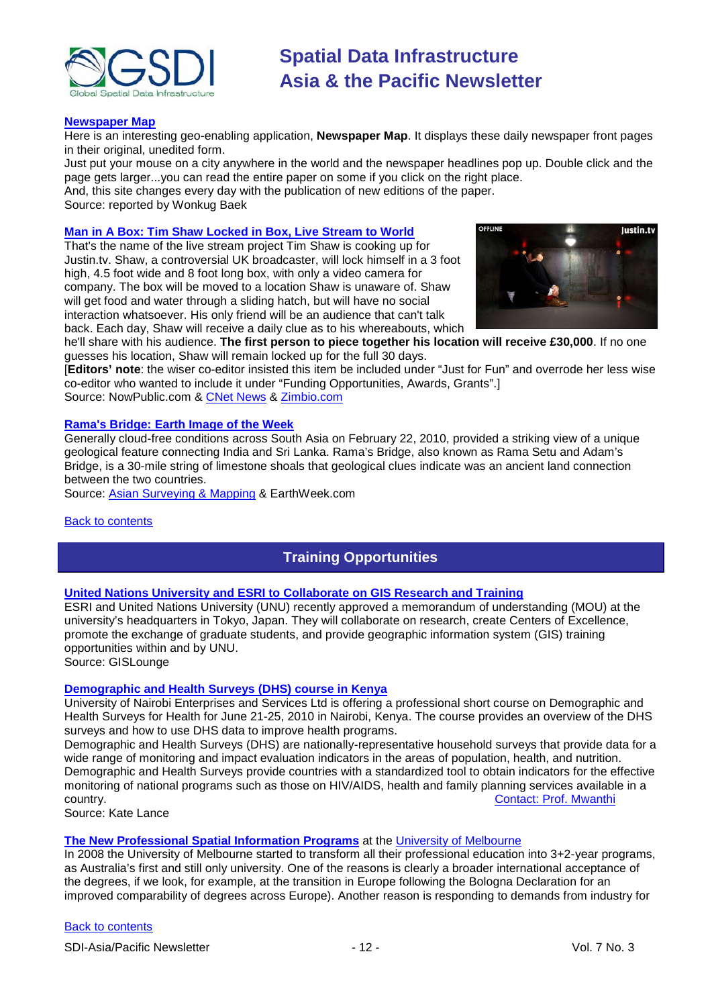

#### **[Newspaper](http://www.newseum.org/todaysfrontpages/flash/) Map**

Here is an interesting geo-enabling application, **Newspaper Map**. It displays these daily newspaper front pages in their original, unedited form.

Just put your mouse on a city anywhere in the world and the newspaper headlines pop up. Double click and the page gets larger...you can read the entire paper on some if you click on the right place.

And, this site changes every day with the publication of new editions of the paper. Source: reported by Wonkug Baek

#### **[Man in A Box: Tim Shaw Locked in Box, Live Stream to World](http://www.nowpublic.com/tech-biz/man-box-tim-shaw-locked-box-live-stream-world-2573274.html)**

That's the name of the live stream project Tim Shaw is cooking up for Justin.tv. Shaw, a controversial UK broadcaster, will lock himself in a 3 foot high, 4.5 foot wide and 8 foot long box, with only a video camera for company. The box will be moved to a location Shaw is unaware of. Shaw will get food and water through a sliding hatch, but will have no social interaction whatsoever. His only friend will be an audience that can't talk back. Each day, Shaw will receive a daily clue as to his whereabouts, which



he'll share with his audience. **The first person to piece together his location will receive £30,000**. If no one guesses his location, Shaw will remain locked up for the full 30 days.

[**Editors' note**: the wiser co-editor insisted this item be included under "Just for Fun" and overrode her less wise co-editor who wanted to include it under "Funding Opportunities, Awards, Grants".] Source: NowPublic.com & [CNet News](http://news.cnet.com/8301-17852_3-10451143-71.html) & [Zimbio.com](http://www.zimbio.com/Tim+Shaw/articles/hSEqjlLmjsx/DJ+Tim+Shaw+spend+30+days+steel+box)

#### **[Rama's Bridge: Earth Image of the Week](http://www.earthweek.com/2010/ew100226/ew100226x.html)**

Generally cloud-free conditions across South Asia on February 22, 2010, provided a striking view of a unique geological feature connecting India and Sri Lanka. Rama's Bridge, also known as Rama Setu and Adam's Bridge, is a 30-mile string of limestone shoals that geological clues indicate was an ancient land connection between the two countries.

Source: [Asian Surveying & Mapping](http://asmmag.com/news/rama-s-bridge-earth-image-of-the-week-) & EarthWeek.com

#### <span id="page-11-0"></span>[Back to contents](#page-0-0)

# **Training Opportunities**

#### **[United Nations University and ESRI to Collaborate on GIS Research and Training](http://news.gislounge.com/2010/02/united-nations-university-and-esri-to-collaborate-on-gis-research-and-training/?utm_source=feedburner&utm_medium=feed&utm_campaign=Feed%3A+GeospatialPressReleases+%28Geospatial+Press+Releases%29)**

ESRI and United Nations University (UNU) recently approved a memorandum of understanding (MOU) at the university's headquarters in Tokyo, Japan. They will collaborate on research, create Centers of Excellence, promote the exchange of graduate students, and provide geographic information system (GIS) training opportunities within and by UNU.

Source: GISLounge

#### **[Demographic and Health Surveys](http://www.measuredhs.com/wn1/reports/Demographic%20health%20surveys_final%20flyer.pdf) (DHS) course in Kenya**

University of Nairobi Enterprises and Services Ltd is offering a professional short course on Demographic and Health Surveys for Health for June 21-25, 2010 in Nairobi, Kenya. The course provides an overview of the DHS surveys and how to use DHS data to improve health programs.

Demographic and Health Surveys (DHS) are nationally-representative household surveys that provide data for a wide range of monitoring and impact evaluation indicators in the areas of population, health, and nutrition. Demographic and Health Surveys provide countries with a standardized tool to obtain indicators for the effective monitoring of national programs such as those on HIV/AIDS, health and family planning services available in a<br>country. Contact: Prof. Mwanthi [Contact: Prof. Mwanthi](mailto:mmwanthi@uonbi.ac.ke)

Source: Kate Lance

#### **[The New Professional Spatial Information Programs](http://www.geom.unimelb.edu.au/future/masters.html)** at the [University of Melbourne](http://www.unimelb.edu.au/)

In 2008 the University of Melbourne started to transform all their professional education into 3+2-year programs, as Australia's first and still only university. One of the reasons is clearly a broader international acceptance of the degrees, if we look, for example, at the transition in Europe following the Bologna Declaration for an improved comparability of degrees across Europe). Another reason is responding to demands from industry for

#### [Back to contents](#page-0-0)

SDI-Asia/Pacific Newsletter  $\sim$  12 - 12 - Vol. 7 No. 3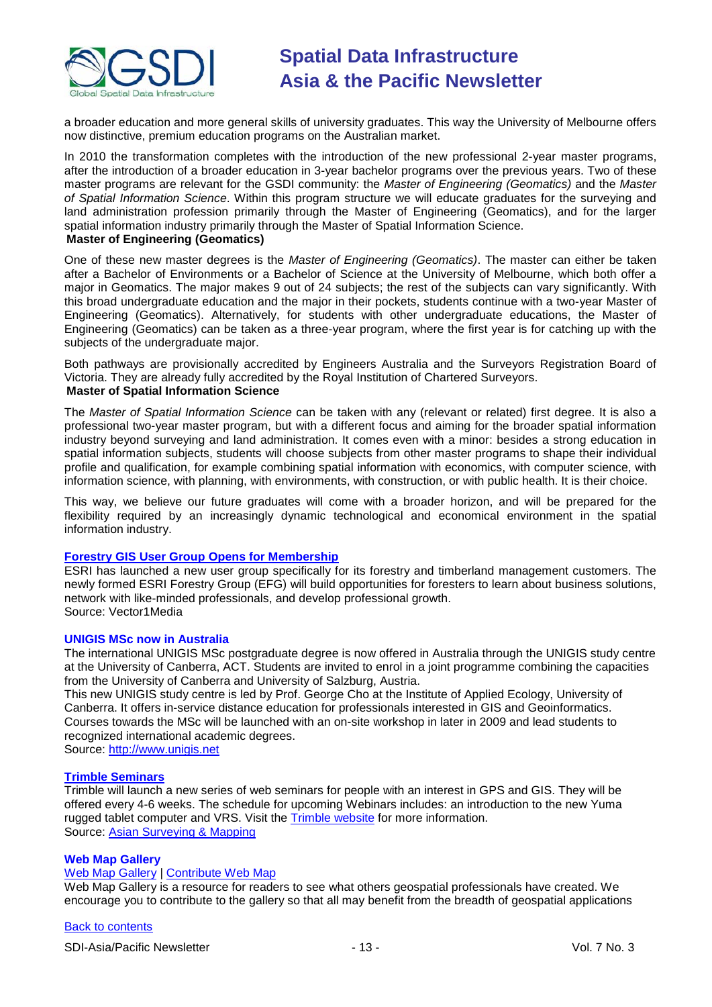

a broader education and more general skills of university graduates. This way the University of Melbourne offers now distinctive, premium education programs on the Australian market.

In 2010 the transformation completes with the introduction of the new professional 2-year master programs, after the introduction of a broader education in 3-year bachelor programs over the previous years. Two of these master programs are relevant for the GSDI community: the *Master of Engineering (Geomatics)* and the *Master of Spatial Information Science*. Within this program structure we will educate graduates for the surveying and land administration profession primarily through the Master of Engineering (Geomatics), and for the larger spatial information industry primarily through the Master of Spatial Information Science. **Master of Engineering (Geomatics)**

One of these new master degrees is the *Master of Engineering (Geomatics)*. The master can either be taken after a Bachelor of Environments or a Bachelor of Science at the University of Melbourne, which both offer a major in Geomatics. The major makes 9 out of 24 subjects; the rest of the subjects can vary significantly. With this broad undergraduate education and the major in their pockets, students continue with a two-year Master of Engineering (Geomatics). Alternatively, for students with other undergraduate educations, the Master of Engineering (Geomatics) can be taken as a three-year program, where the first year is for catching up with the subjects of the undergraduate major.

Both pathways are provisionally accredited by Engineers Australia and the Surveyors Registration Board of Victoria. They are already fully accredited by the Royal Institution of Chartered Surveyors.

### **Master of Spatial Information Science**

The *Master of Spatial Information Science* can be taken with any (relevant or related) first degree. It is also a professional two-year master program, but with a different focus and aiming for the broader spatial information industry beyond surveying and land administration. It comes even with a minor: besides a strong education in spatial information subjects, students will choose subjects from other master programs to shape their individual profile and qualification, for example combining spatial information with economics, with computer science, with information science, with planning, with environments, with construction, or with public health. It is their choice.

This way, we believe our future graduates will come with a broader horizon, and will be prepared for the flexibility required by an increasingly dynamic technological and economical environment in the spatial information industry.

### **[Forestry GIS User Group Opens for Membership](http://www.vector1media.com/news/top-stories/53-corporate-news/8187-forestry-gis-user-group-opens-for-membership)**

ESRI has launched a new user group specifically for its forestry and timberland management customers. The newly formed ESRI Forestry Group (EFG) will build opportunities for foresters to learn about business solutions, network with like-minded professionals, and develop professional growth. Source: Vector1Media

#### **UNIGIS MSc now in Australia**

The international UNIGIS MSc postgraduate degree is now offered in Australia through the UNIGIS study centre at the University of Canberra, ACT. Students are invited to enrol in a joint programme combining the capacities from the University of Canberra and University of Salzburg, Austria.

This new UNIGIS study centre is led by Prof. George Cho at the Institute of Applied Ecology, University of Canberra. It offers in-service distance education for professionals interested in GIS and Geoinformatics. Courses towards the MSc will be launched with an on-site workshop in later in 2009 and lead students to recognized international academic degrees.

Source: [http://www.unigis.net](http://www.unigis.net/)

#### **[Trimble Seminars](http://www.trimble.com/mgis/webinars.shtml)**

Trimble will launch a new series of web seminars for people with an interest in GPS and GIS. They will be offered every 4-6 weeks. The schedule for upcoming Webinars includes: an introduction to the new Yuma rugged tablet computer and VRS. Visit the [Trimble website](http://www.trimble.com/mgis/webinars.shtml) for more information. Source: Asian [Surveying & Mapping](http://www.asmmag.com/news)

### **Web Map Gallery**

### [Web Map Gallery](http://www.directionsmag.com/webmapgallery/) | [Contribute Web Map](http://www.directionsmag.com/webmapgallery/?duty=Contribute)

Web Map Gallery is a resource for readers to see what others geospatial professionals have created. We encourage you to contribute to the gallery so that all may benefit from the breadth of geospatial applications

#### [Back to contents](#page-0-0)

SDI-Asia/Pacific Newsletter  $\sim$  13 - 13 - Vol. 7 No. 3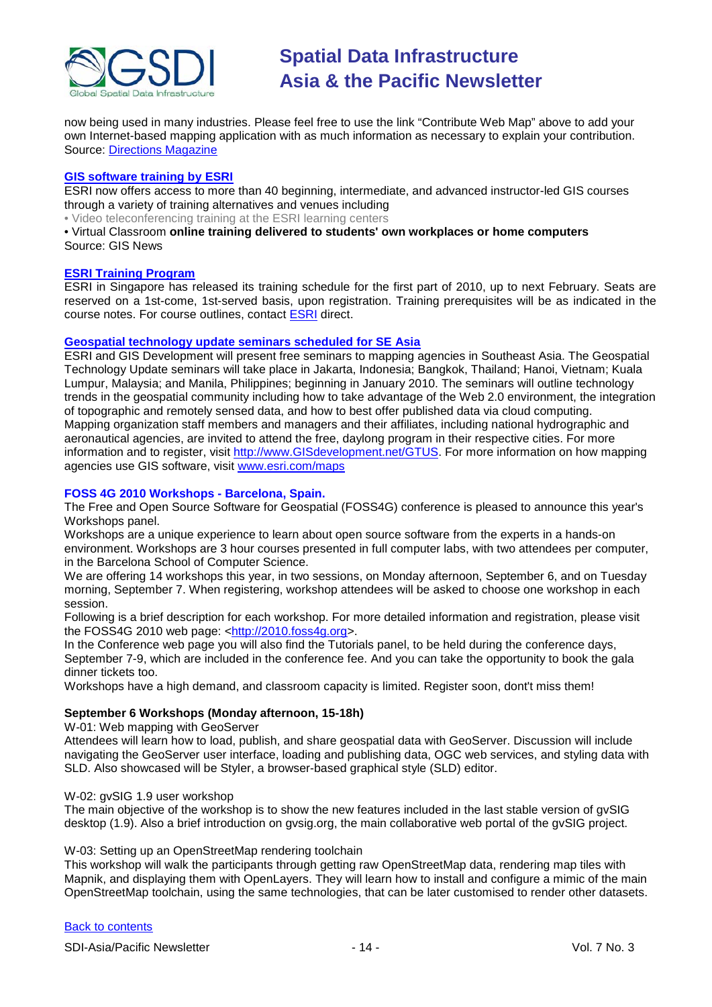

now being used in many industries. Please feel free to use the link "Contribute Web Map" above to add your own Internet-based mapping application with as much information as necessary to explain your contribution. Source: [Directions Magazine](http://www.directionsmag.com/webmapgallery/)

#### **[GIS software training by ESRI](http://training.esri.com/gateway/index.cfm?fa=trainingOptions.gateway)**

ESRI now offers access to more than 40 beginning, intermediate, and advanced instructor-led GIS courses through a variety of training alternatives and venues including

• Video teleconferencing training at the ESRI learning centers

• Virtual Classroom **online training delivered to students' own workplaces or home computers** Source: GIS News

#### **[ESRI Training Program](http://www.esrisingapore.com.sg/training.html)**

ESRI in Singapore has released its training schedule for the first part of 2010, up to next February. Seats are reserved on a 1st-come, 1st-served basis, upon registration. Training prerequisites will be as indicated in the course notes. For course outlines, contact [ESRI](mailto:training@esrisa.com) direct.

#### **[Geospatial technology update seminars scheduled for SE Asia](http://www.esri.com/news/releases/10_1qtr/geo-tech.html)**

ESRI and GIS Development will present free seminars to mapping agencies in Southeast Asia. The Geospatial Technology Update seminars will take place in Jakarta, Indonesia; Bangkok, Thailand; Hanoi, Vietnam; Kuala Lumpur, Malaysia; and Manila, Philippines; beginning in January 2010. The seminars will outline technology trends in the geospatial community including how to take advantage of the Web 2.0 environment, the integration of topographic and remotely sensed data, and how to best offer published data via cloud computing. Mapping organization staff members and managers and their affiliates, including national hydrographic and aeronautical agencies, are invited to attend the free, daylong program in their respective cities. For more information and to register, visit [http://www.GISdevelopment.net/GTUS.](http://www.gisdevelopment.net/GTUS) For more information on how mapping agencies use GIS software, visit [www.esri.com/maps](http://www.esri.com/maps)

#### **FOSS 4G 2010 Workshops - Barcelona, Spain.**

The Free and Open Source Software for Geospatial (FOSS4G) conference is pleased to announce this year's Workshops panel.

Workshops are a unique experience to learn about open source software from the experts in a hands-on environment. Workshops are 3 hour courses presented in full computer labs, with two attendees per computer, in the Barcelona School of Computer Science.

We are offering 14 workshops this year, in two sessions, on Monday afternoon, September 6, and on Tuesday morning, September 7. When registering, workshop attendees will be asked to choose one workshop in each session.

Following is a brief description for each workshop. For more detailed information and registration, please visit the FOSS4G 2010 web page: [<http://2010.foss4g.org>](http://2010.foss4g.org/).

In the Conference web page you will also find the Tutorials panel, to be held during the conference days, September 7-9, which are included in the conference fee. And you can take the opportunity to book the gala dinner tickets too.

Workshops have a high demand, and classroom capacity is limited. Register soon, dont't miss them!

#### **September 6 Workshops (Monday afternoon, 15-18h)**

W-01: Web mapping with GeoServer

Attendees will learn how to load, publish, and share geospatial data with GeoServer. Discussion will include navigating the GeoServer user interface, loading and publishing data, OGC web services, and styling data with SLD. Also showcased will be Styler, a browser-based graphical style (SLD) editor.

#### W-02: gvSIG 1.9 user workshop

The main objective of the workshop is to show the new features included in the last stable version of gvSIG desktop (1.9). Also a brief introduction on gvsig.org, the main collaborative web portal of the gvSIG project.

#### W-03: Setting up an OpenStreetMap rendering toolchain

This workshop will walk the participants through getting raw OpenStreetMap data, rendering map tiles with Mapnik, and displaying them with OpenLayers. They will learn how to install and configure a mimic of the main OpenStreetMap toolchain, using the same technologies, that can be later customised to render other datasets.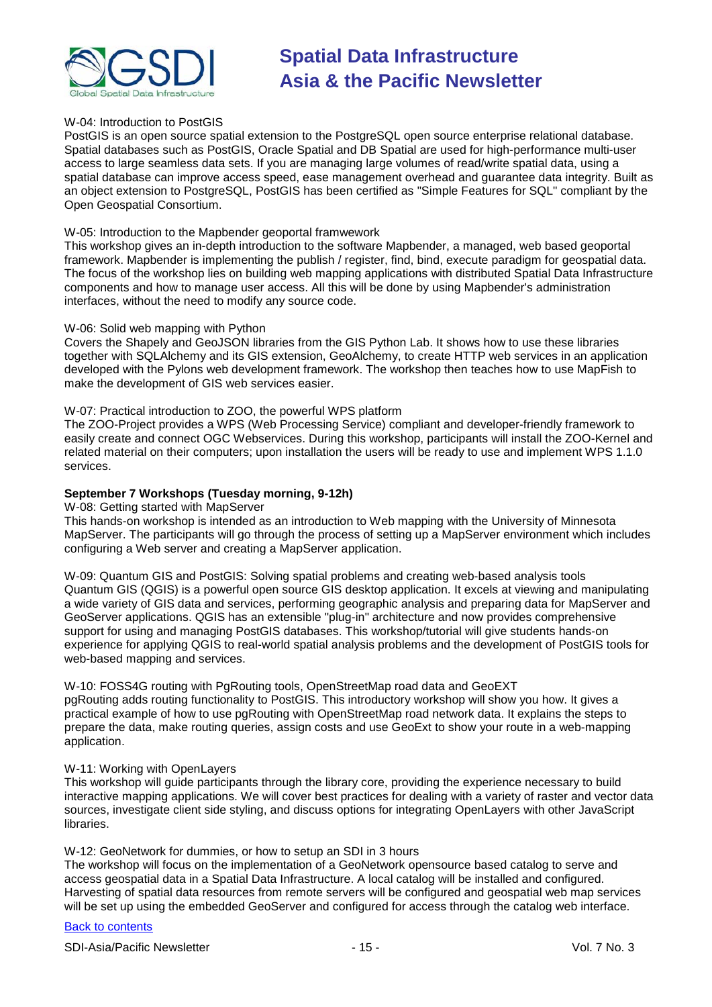

#### W-04: Introduction to PostGIS

PostGIS is an open source spatial extension to the PostgreSQL open source enterprise relational database. Spatial databases such as PostGIS, Oracle Spatial and DB Spatial are used for high-performance multi-user access to large seamless data sets. If you are managing large volumes of read/write spatial data, using a spatial database can improve access speed, ease management overhead and guarantee data integrity. Built as an object extension to PostgreSQL, PostGIS has been certified as "Simple Features for SQL" compliant by the Open Geospatial Consortium.

#### W-05: Introduction to the Mapbender geoportal framwework

This workshop gives an in-depth introduction to the software Mapbender, a managed, web based geoportal framework. Mapbender is implementing the publish / register, find, bind, execute paradigm for geospatial data. The focus of the workshop lies on building web mapping applications with distributed Spatial Data Infrastructure components and how to manage user access. All this will be done by using Mapbender's administration interfaces, without the need to modify any source code.

#### W-06: Solid web mapping with Python

Covers the Shapely and GeoJSON libraries from the GIS Python Lab. It shows how to use these libraries together with SQLAlchemy and its GIS extension, GeoAlchemy, to create HTTP web services in an application developed with the Pylons web development framework. The workshop then teaches how to use MapFish to make the development of GIS web services easier.

#### W-07: Practical introduction to ZOO, the powerful WPS platform

The ZOO-Project provides a WPS (Web Processing Service) compliant and developer-friendly framework to easily create and connect OGC Webservices. During this workshop, participants will install the ZOO-Kernel and related material on their computers; upon installation the users will be ready to use and implement WPS 1.1.0 services.

#### **September 7 Workshops (Tuesday morning, 9-12h)**

W-08: Getting started with MapServer

This hands-on workshop is intended as an introduction to Web mapping with the University of Minnesota MapServer. The participants will go through the process of setting up a MapServer environment which includes configuring a Web server and creating a MapServer application.

W-09: Quantum GIS and PostGIS: Solving spatial problems and creating web-based analysis tools Quantum GIS (QGIS) is a powerful open source GIS desktop application. It excels at viewing and manipulating a wide variety of GIS data and services, performing geographic analysis and preparing data for MapServer and GeoServer applications. QGIS has an extensible "plug-in" architecture and now provides comprehensive support for using and managing PostGIS databases. This workshop/tutorial will give students hands-on experience for applying QGIS to real-world spatial analysis problems and the development of PostGIS tools for web-based mapping and services.

#### W-10: FOSS4G routing with PgRouting tools, OpenStreetMap road data and GeoEXT

pgRouting adds routing functionality to PostGIS. This introductory workshop will show you how. It gives a practical example of how to use pgRouting with OpenStreetMap road network data. It explains the steps to prepare the data, make routing queries, assign costs and use GeoExt to show your route in a web-mapping application.

#### W-11: Working with OpenLayers

This workshop will guide participants through the library core, providing the experience necessary to build interactive mapping applications. We will cover best practices for dealing with a variety of raster and vector data sources, investigate client side styling, and discuss options for integrating OpenLayers with other JavaScript libraries.

#### W-12: GeoNetwork for dummies, or how to setup an SDI in 3 hours

The workshop will focus on the implementation of a GeoNetwork opensource based catalog to serve and access geospatial data in a Spatial Data Infrastructure. A local catalog will be installed and configured. Harvesting of spatial data resources from remote servers will be configured and geospatial web map services will be set up using the embedded GeoServer and configured for access through the catalog web interface.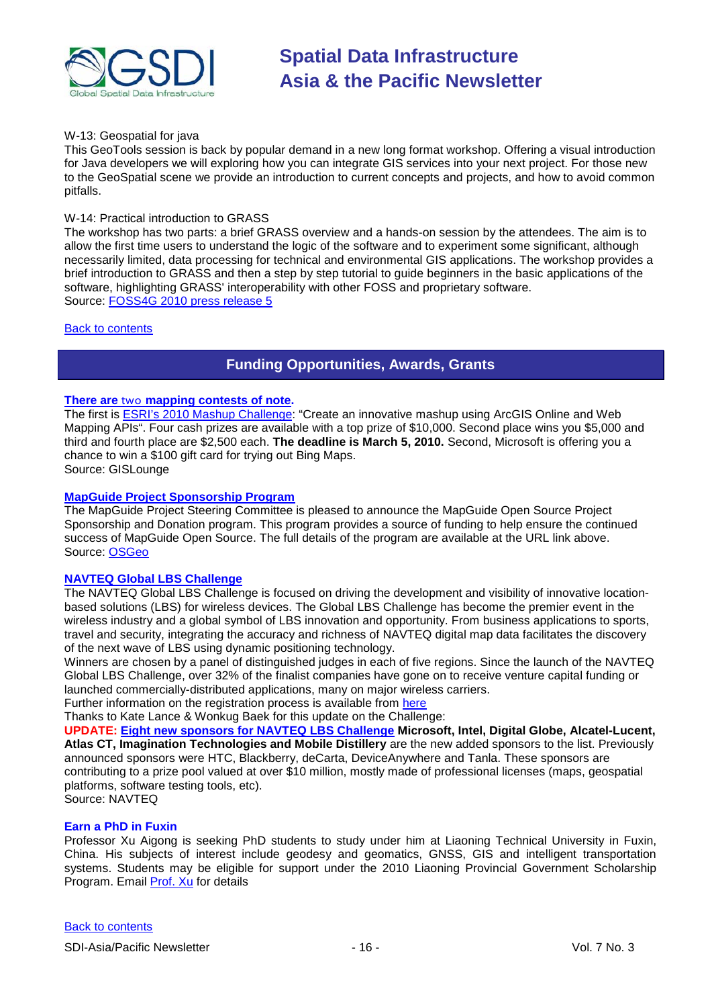

#### W-13: Geospatial for java

This GeoTools session is back by popular demand in a new long format workshop. Offering a visual introduction for Java developers we will exploring how you can integrate GIS services into your next project. For those new to the GeoSpatial scene we provide an introduction to current concepts and projects, and how to avoid common pitfalls.

#### W-14: Practical introduction to GRASS

The workshop has two parts: a brief GRASS overview and a hands-on session by the attendees. The aim is to allow the first time users to understand the logic of the software and to experiment some significant, although necessarily limited, data processing for technical and environmental GIS applications. The workshop provides a brief introduction to GRASS and then a step by step tutorial to guide beginners in the basic applications of the software, highlighting GRASS' interoperability with other FOSS and proprietary software. Source: [FOSS4G 2010 press release 5](http://wiki.osgeo.org/wiki/FOSS4G_2010_Press_Release_5)

#### <span id="page-15-0"></span>[Back to contents](#page-0-0)

# **Funding Opportunities, Awards, Grants**

### **There are** two **[mapping contests of note.](http://gislounge.com/mapping-contests/)**

The first i[s ESRI's 2010 Mashup Challenge:](http://www.esri.com/software/mapping_for_everyone/api/mashup.html) "Create an innovative mashup using ArcGIS Online and Web Mapping APIs". Four cash prizes are available with a top prize of \$10,000. Second place wins you \$5,000 and third and fourth place are \$2,500 each. **The deadline is March 5, 2010.** Second, Microsoft is offering you a chance to win a \$100 gift card for trying out Bing Maps.

Source: GISLounge

#### **[MapGuide Project Sponsorship Program](http://mapguide.osgeo.org/sponsorship)**

The MapGuide Project Steering Committee is pleased to announce the MapGuide Open Source Project Sponsorship and Donation program. This program provides a source of funding to help ensure the continued success of MapGuide Open Source. The full details of the program are available at the URL link above. Source: [OSGeo](http://www.osgeo.org/node/978)

#### **[NAVTEQ Global LBS](http://developer.navteq.com/site/global/market/lbs_challenge/p_lbs_home.jsp) Challenge**

The NAVTEQ Global LBS Challenge is focused on driving the development and visibility of innovative locationbased solutions (LBS) for wireless devices. The Global LBS Challenge has become the premier event in the wireless industry and a global symbol of LBS innovation and opportunity. From business applications to sports, travel and security, integrating the accuracy and richness of NAVTEQ digital map data facilitates the discovery of the next wave of LBS using dynamic positioning technology.

Winners are chosen by a panel of distinguished judges in each of five regions. Since the launch of the NAVTEQ Global LBS Challenge, over 32% of the finalist companies have gone on to receive venture capital funding or launched commercially-distributed applications, many on major wireless carriers.

Further information on the registration process is available from [here](http://developer.navteq.com/site/global/market/lbs_challenge/p_lbs_home.jsp)

Thanks to Kate Lance & Wonkug Baek for this update on the Challenge:

**UPDATE: [Eight new sponsors for NAVTEQ LBS Challenge](http://corporate.navteq.com/webapps/NewsUserServlet?action=NewsDetail&newsId=824&lang=en&englishonly=false) Microsoft, Intel, Digital Globe, Alcatel-Lucent, Atlas CT, Imagination Technologies and Mobile Distillery** are the new added sponsors to the list. Previously announced sponsors were HTC, Blackberry, deCarta, DeviceAnywhere and Tanla. These sponsors are contributing to a prize pool valued at over \$10 million, mostly made of professional licenses (maps, geospatial platforms, software testing tools, etc). Source: NAVTEQ

#### **Earn a PhD in Fuxin**

Professor Xu Aigong is seeking PhD students to study under him at Liaoning Technical University in Fuxin, China. His subjects of interest include geodesy and geomatics, GNSS, GIS and intelligent transportation systems. Students may be eligible for support under the 2010 Liaoning Provincial Government Scholarship Program. Email [Prof. Xu](mailto:%22xu_ag@126.com%22) for details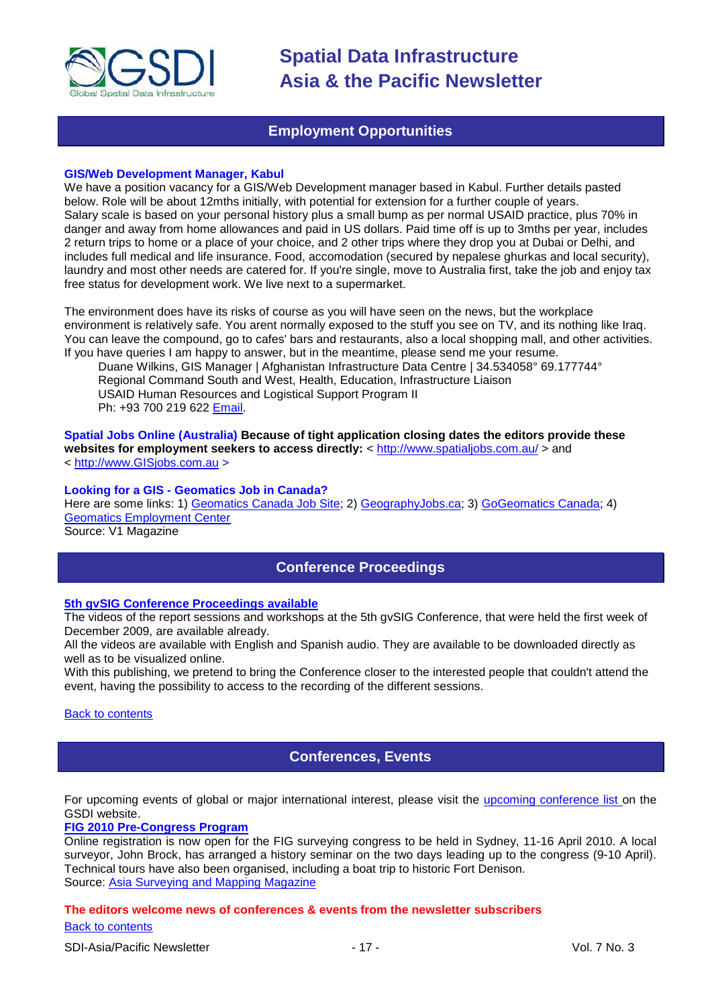

### **Employment Opportunities**

#### <span id="page-16-0"></span>**GIS/Web Development Manager, Kabul**

We have a position vacancy for a GIS/Web Development manager based in Kabul. Further details pasted below. Role will be about 12mths initially, with potential for extension for a further couple of years. Salary scale is based on your personal history plus a small bump as per normal USAID practice, plus 70% in danger and away from home allowances and paid in US dollars. Paid time off is up to 3mths per year, includes 2 return trips to home or a place of your choice, and 2 other trips where they drop you at Dubai or Delhi, and includes full medical and life insurance. Food, accomodation (secured by nepalese ghurkas and local security), laundry and most other needs are catered for. If you're single, move to Australia first, take the job and enjoy tax free status for development work. We live next to a supermarket.

The environment does have its risks of course as you will have seen on the news, but the workplace environment is relatively safe. You arent normally exposed to the stuff you see on TV, and its nothing like Iraq. You can leave the compound, go to cafes' bars and restaurants, also a local shopping mall, and other activities. If you have queries I am happy to answer, but in the meantime, please send me your resume.

Duane Wilkins, GIS Manager | Afghanistan Infrastructure Data Centre | 34.534058° 69.177744° Regional Command South and West, Health, Education, Infrastructure Liaison USAID Human Resources and Logistical Support Program II Ph: +93 700 219 622 [Email.](mailto:dwilkins@ird-hrls.org)

**Spatial Jobs Online (Australia) Because of tight application closing dates the editors provide these**  websites for employment seekers to access directly: <<http://www.spatialjobs.com.au/> > and < [http://www.GISjobs.com.au](http://www.gisjobs.com.au/) >

#### **Looking for a GIS - Geomatics Job in Canada?**

Here are some links: 1) [Geomatics Canada Job Site;](http://geomaticscanada.com/jobs.cfm) 2) [GeographyJobs.ca;](http://www.geographyjobs.ca/) 3) [GoGeomatics Canada;](http://canada.gogeomatics.net/frmHome.aspx) 4) [Geomatics Employment Center](http://gisjobs.ca/)

<span id="page-16-1"></span>Source: V1 Magazine

### **Conference Proceedings**

#### **[5th gvSIG Conference Proceedings available](http://jornadas.gvsig.org/comunicaciones/reports)**

The videos of the report sessions and workshops at the 5th gvSIG Conference, that were held the first week of December 2009, are available already.

All the videos are available with English and Spanish audio. They are available to be downloaded directly as well as to be visualized online.

With this publishing, we pretend to bring the Conference closer to the interested people that couldn't attend the event, having the possibility to access to the recording of the different sessions.

#### <span id="page-16-2"></span>[Back to contents](#page-0-0)

### **Conferences, Events**

For upcoming events of global or major international interest, please visit the [upcoming conference list o](http://gsdi.org/events/upcnf.asp)n the GSDI website.

#### **[FIG 2010 Pre-Congress Program](http://www.asmmag.com/news/fig-2010-pre-congress-program)**

Online registration is now open for the FIG surveying congress to be held in Sydney, 11-16 April 2010. A local surveyor, John Brock, has arranged a history seminar on the two days leading up to the congress (9-10 April). Technical tours have also been organised, including a boat trip to historic Fort Denison. Source: [Asia Surveying and Mapping Magazine](http://www.asmmag.com/news/fig-2010-pre-congress-program)

### [Back to contents](#page-0-0) **The editors welcome news of conferences & events from the newsletter subscribers**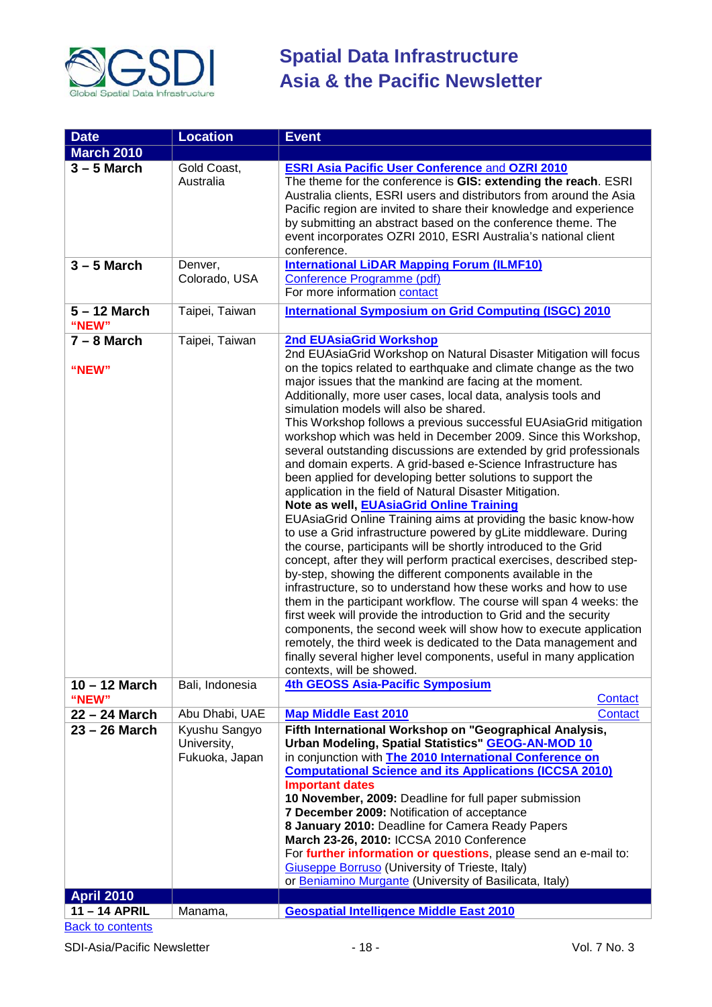

| <b>Date</b>              | <b>Location</b>                                | <b>Event</b>                                                                                                                                                                                                                                                                                                                                                                                                                                                                                                                                                                                                                                                                                                                                                                                                                                                                                                                                                                                                                                                                                                                                                                                                                                                                                                                                                                                                                                                                                                                                                                       |
|--------------------------|------------------------------------------------|------------------------------------------------------------------------------------------------------------------------------------------------------------------------------------------------------------------------------------------------------------------------------------------------------------------------------------------------------------------------------------------------------------------------------------------------------------------------------------------------------------------------------------------------------------------------------------------------------------------------------------------------------------------------------------------------------------------------------------------------------------------------------------------------------------------------------------------------------------------------------------------------------------------------------------------------------------------------------------------------------------------------------------------------------------------------------------------------------------------------------------------------------------------------------------------------------------------------------------------------------------------------------------------------------------------------------------------------------------------------------------------------------------------------------------------------------------------------------------------------------------------------------------------------------------------------------------|
| <b>March 2010</b>        |                                                |                                                                                                                                                                                                                                                                                                                                                                                                                                                                                                                                                                                                                                                                                                                                                                                                                                                                                                                                                                                                                                                                                                                                                                                                                                                                                                                                                                                                                                                                                                                                                                                    |
| $3 - 5$ March            | Gold Coast,<br>Australia                       | <b>ESRI Asia Pacific User Conference and OZRI 2010</b><br>The theme for the conference is GIS: extending the reach. ESRI<br>Australia clients, ESRI users and distributors from around the Asia<br>Pacific region are invited to share their knowledge and experience<br>by submitting an abstract based on the conference theme. The<br>event incorporates OZRI 2010, ESRI Australia's national client<br>conference.                                                                                                                                                                                                                                                                                                                                                                                                                                                                                                                                                                                                                                                                                                                                                                                                                                                                                                                                                                                                                                                                                                                                                             |
| $3 - 5$ March            | Denver,<br>Colorado, USA                       | <b>International LiDAR Mapping Forum (ILMF10)</b><br>Conference Programme (pdf)<br>For more information contact                                                                                                                                                                                                                                                                                                                                                                                                                                                                                                                                                                                                                                                                                                                                                                                                                                                                                                                                                                                                                                                                                                                                                                                                                                                                                                                                                                                                                                                                    |
| $5 - 12$ March<br>"NEW"  | Taipei, Taiwan                                 | <b>International Symposium on Grid Computing (ISGC) 2010</b>                                                                                                                                                                                                                                                                                                                                                                                                                                                                                                                                                                                                                                                                                                                                                                                                                                                                                                                                                                                                                                                                                                                                                                                                                                                                                                                                                                                                                                                                                                                       |
| $7 - 8$ March<br>"NEW"   | Taipei, Taiwan                                 | <b>2nd EUAsiaGrid Workshop</b><br>2nd EUAsiaGrid Workshop on Natural Disaster Mitigation will focus<br>on the topics related to earthquake and climate change as the two<br>major issues that the mankind are facing at the moment.<br>Additionally, more user cases, local data, analysis tools and<br>simulation models will also be shared.<br>This Workshop follows a previous successful EUAsiaGrid mitigation<br>workshop which was held in December 2009. Since this Workshop,<br>several outstanding discussions are extended by grid professionals<br>and domain experts. A grid-based e-Science Infrastructure has<br>been applied for developing better solutions to support the<br>application in the field of Natural Disaster Mitigation.<br>Note as well, EUAsiaGrid Online Training<br>EUAsiaGrid Online Training aims at providing the basic know-how<br>to use a Grid infrastructure powered by gLite middleware. During<br>the course, participants will be shortly introduced to the Grid<br>concept, after they will perform practical exercises, described step-<br>by-step, showing the different components available in the<br>infrastructure, so to understand how these works and how to use<br>them in the participant workflow. The course will span 4 weeks: the<br>first week will provide the introduction to Grid and the security<br>components, the second week will show how to execute application<br>remotely, the third week is dedicated to the Data management and<br>finally several higher level components, useful in many application |
| $10 - 12$ March<br>"NEW" | Bali, Indonesia                                | contexts, will be showed.<br>4th GEOSS Asia-Pacific Symposium<br>Contact                                                                                                                                                                                                                                                                                                                                                                                                                                                                                                                                                                                                                                                                                                                                                                                                                                                                                                                                                                                                                                                                                                                                                                                                                                                                                                                                                                                                                                                                                                           |
| 22 - 24 March            | Abu Dhabi, UAE                                 | <b>Map Middle East 2010</b><br><b>Contact</b>                                                                                                                                                                                                                                                                                                                                                                                                                                                                                                                                                                                                                                                                                                                                                                                                                                                                                                                                                                                                                                                                                                                                                                                                                                                                                                                                                                                                                                                                                                                                      |
| 23 - 26 March            | Kyushu Sangyo<br>University,<br>Fukuoka, Japan | Fifth International Workshop on "Geographical Analysis,<br>Urban Modeling, Spatial Statistics" GEOG-AN-MOD 10<br>in conjunction with <b>The 2010 International Conference on</b><br><b>Computational Science and its Applications (ICCSA 2010)</b><br><b>Important dates</b><br>10 November, 2009: Deadline for full paper submission<br>7 December 2009: Notification of acceptance<br>8 January 2010: Deadline for Camera Ready Papers<br>March 23-26, 2010: ICCSA 2010 Conference<br>For further information or questions, please send an e-mail to:<br><b>Giuseppe Borruso</b> (University of Trieste, Italy)<br>or Beniamino Murgante (University of Basilicata, Italy)                                                                                                                                                                                                                                                                                                                                                                                                                                                                                                                                                                                                                                                                                                                                                                                                                                                                                                       |
| <b>April 2010</b>        |                                                |                                                                                                                                                                                                                                                                                                                                                                                                                                                                                                                                                                                                                                                                                                                                                                                                                                                                                                                                                                                                                                                                                                                                                                                                                                                                                                                                                                                                                                                                                                                                                                                    |
|                          |                                                |                                                                                                                                                                                                                                                                                                                                                                                                                                                                                                                                                                                                                                                                                                                                                                                                                                                                                                                                                                                                                                                                                                                                                                                                                                                                                                                                                                                                                                                                                                                                                                                    |
| 11-14 APRIL              | Manama,                                        | <b>Geospatial Intelligence Middle East 2010</b>                                                                                                                                                                                                                                                                                                                                                                                                                                                                                                                                                                                                                                                                                                                                                                                                                                                                                                                                                                                                                                                                                                                                                                                                                                                                                                                                                                                                                                                                                                                                    |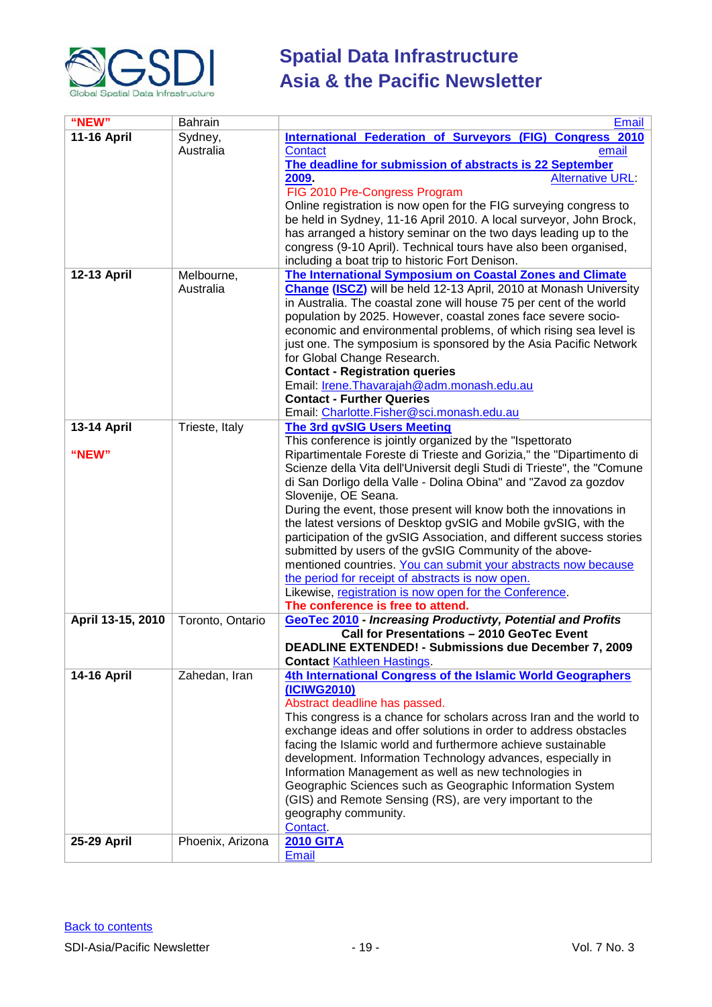

| "NEW"<br>Bahrain                                                                                                          | <b>Email</b>            |
|---------------------------------------------------------------------------------------------------------------------------|-------------------------|
| <b>11-16 April</b><br><b>International Federation of Surveyors (FIG) Congress 2010</b><br>Sydney,                         |                         |
| Australia<br>Contact                                                                                                      | email                   |
| The deadline for submission of abstracts is 22 September                                                                  |                         |
| 2009.                                                                                                                     | <b>Alternative URL:</b> |
| FIG 2010 Pre-Congress Program                                                                                             |                         |
| Online registration is now open for the FIG surveying congress to                                                         |                         |
| be held in Sydney, 11-16 April 2010. A local surveyor, John Brock,                                                        |                         |
| has arranged a history seminar on the two days leading up to the                                                          |                         |
| congress (9-10 April). Technical tours have also been organised,                                                          |                         |
| including a boat trip to historic Fort Denison.<br>The International Symposium on Coastal Zones and Climate               |                         |
| 12-13 April<br>Melbourne,<br><b>Change (ISCZ)</b> will be held 12-13 April, 2010 at Monash University<br>Australia        |                         |
| in Australia. The coastal zone will house 75 per cent of the world                                                        |                         |
| population by 2025. However, coastal zones face severe socio-                                                             |                         |
| economic and environmental problems, of which rising sea level is                                                         |                         |
| just one. The symposium is sponsored by the Asia Pacific Network                                                          |                         |
| for Global Change Research.                                                                                               |                         |
| <b>Contact - Registration queries</b>                                                                                     |                         |
| Email: Irene. Thavarajah@adm. monash. edu. au                                                                             |                         |
| <b>Contact - Further Queries</b>                                                                                          |                         |
| Email: Charlotte.Fisher@sci.monash.edu.au                                                                                 |                         |
| <b>13-14 April</b><br>Trieste, Italy<br><b>The 3rd gvSIG Users Meeting</b>                                                |                         |
| This conference is jointly organized by the "Ispettorato                                                                  |                         |
| Ripartimentale Foreste di Trieste and Gorizia," the "Dipartimento di<br>"NEW"                                             |                         |
| Scienze della Vita dell'Universit degli Studi di Trieste", the "Comune                                                    |                         |
| di San Dorligo della Valle - Dolina Obina" and "Zavod za gozdov                                                           |                         |
| Slovenije, OE Seana.                                                                                                      |                         |
| During the event, those present will know both the innovations in                                                         |                         |
| the latest versions of Desktop gvSIG and Mobile gvSIG, with the                                                           |                         |
| participation of the gvSIG Association, and different success stories                                                     |                         |
| submitted by users of the gvSIG Community of the above-<br>mentioned countries. You can submit your abstracts now because |                         |
| the period for receipt of abstracts is now open.                                                                          |                         |
| Likewise, registration is now open for the Conference.                                                                    |                         |
| The conference is free to attend.                                                                                         |                         |
| <b>GeoTec 2010 - Increasing Productivty, Potential and Profits</b><br>April 13-15, 2010<br>Toronto, Ontario               |                         |
| Call for Presentations - 2010 GeoTec Event                                                                                |                         |
| <b>DEADLINE EXTENDED! - Submissions due December 7, 2009</b>                                                              |                         |
| <b>Contact Kathleen Hastings.</b>                                                                                         |                         |
| 4th International Congress of the Islamic World Geographers<br><b>14-16 April</b><br>Zahedan, Iran                        |                         |
| (ICIWG2010)                                                                                                               |                         |
| Abstract deadline has passed.                                                                                             |                         |
| This congress is a chance for scholars across Iran and the world to                                                       |                         |
| exchange ideas and offer solutions in order to address obstacles                                                          |                         |
| facing the Islamic world and furthermore achieve sustainable                                                              |                         |
| development. Information Technology advances, especially in                                                               |                         |
| Information Management as well as new technologies in                                                                     |                         |
| Geographic Sciences such as Geographic Information System                                                                 |                         |
| (GIS) and Remote Sensing (RS), are very important to the                                                                  |                         |
| geography community.                                                                                                      |                         |
| Contact.                                                                                                                  |                         |
| Phoenix, Arizona<br><b>2010 GITA</b><br>25-29 April                                                                       |                         |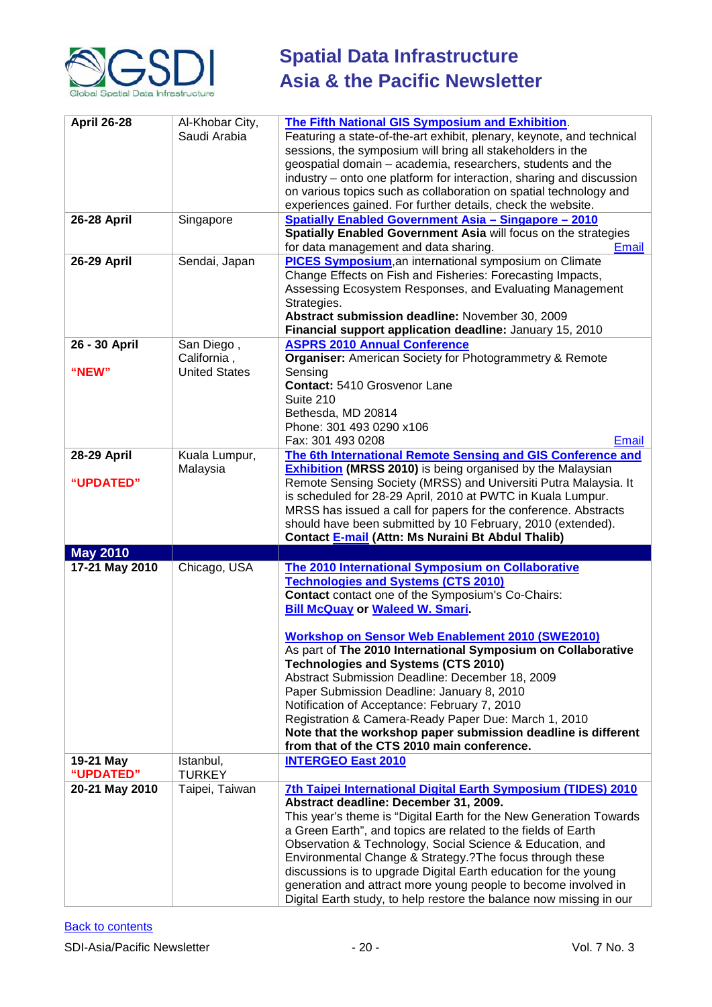

| <b>April 26-28</b> | Al-Khobar City,<br>Saudi Arabia | <b>The Fifth National GIS Symposium and Exhibition.</b><br>Featuring a state-of-the-art exhibit, plenary, keynote, and technical<br>sessions, the symposium will bring all stakeholders in the<br>geospatial domain - academia, researchers, students and the<br>industry – onto one platform for interaction, sharing and discussion<br>on various topics such as collaboration on spatial technology and<br>experiences gained. For further details, check the website. |
|--------------------|---------------------------------|---------------------------------------------------------------------------------------------------------------------------------------------------------------------------------------------------------------------------------------------------------------------------------------------------------------------------------------------------------------------------------------------------------------------------------------------------------------------------|
| <b>26-28 April</b> | Singapore                       | <b>Spatially Enabled Government Asia - Singapore - 2010</b>                                                                                                                                                                                                                                                                                                                                                                                                               |
|                    |                                 | Spatially Enabled Government Asia will focus on the strategies                                                                                                                                                                                                                                                                                                                                                                                                            |
|                    |                                 | for data management and data sharing.<br>Email                                                                                                                                                                                                                                                                                                                                                                                                                            |
| <b>26-29 April</b> | Sendai, Japan                   | <b>PICES Symposium, an international symposium on Climate</b><br>Change Effects on Fish and Fisheries: Forecasting Impacts,<br>Assessing Ecosystem Responses, and Evaluating Management<br>Strategies.<br>Abstract submission deadline: November 30, 2009<br>Financial support application deadline: January 15, 2010                                                                                                                                                     |
| 26 - 30 April      | San Diego,                      | <b>ASPRS 2010 Annual Conference</b>                                                                                                                                                                                                                                                                                                                                                                                                                                       |
|                    | California,                     | <b>Organiser:</b> American Society for Photogrammetry & Remote                                                                                                                                                                                                                                                                                                                                                                                                            |
|                    |                                 |                                                                                                                                                                                                                                                                                                                                                                                                                                                                           |
| "NEW"              | <b>United States</b>            | Sensing                                                                                                                                                                                                                                                                                                                                                                                                                                                                   |
|                    |                                 | Contact: 5410 Grosvenor Lane                                                                                                                                                                                                                                                                                                                                                                                                                                              |
|                    |                                 | Suite 210                                                                                                                                                                                                                                                                                                                                                                                                                                                                 |
|                    |                                 | Bethesda, MD 20814                                                                                                                                                                                                                                                                                                                                                                                                                                                        |
|                    |                                 | Phone: 301 493 0290 x106                                                                                                                                                                                                                                                                                                                                                                                                                                                  |
|                    |                                 | Fax: 301 493 0208<br><b>Email</b>                                                                                                                                                                                                                                                                                                                                                                                                                                         |
| <b>28-29 April</b> | Kuala Lumpur,                   | The 6th International Remote Sensing and GIS Conference and                                                                                                                                                                                                                                                                                                                                                                                                               |
|                    |                                 | <b>Exhibition (MRSS 2010)</b> is being organised by the Malaysian                                                                                                                                                                                                                                                                                                                                                                                                         |
|                    | Malaysia                        |                                                                                                                                                                                                                                                                                                                                                                                                                                                                           |
| "UPDATED"          |                                 | Remote Sensing Society (MRSS) and Universiti Putra Malaysia. It                                                                                                                                                                                                                                                                                                                                                                                                           |
|                    |                                 | is scheduled for 28-29 April, 2010 at PWTC in Kuala Lumpur.                                                                                                                                                                                                                                                                                                                                                                                                               |
|                    |                                 |                                                                                                                                                                                                                                                                                                                                                                                                                                                                           |
|                    |                                 | MRSS has issued a call for papers for the conference. Abstracts                                                                                                                                                                                                                                                                                                                                                                                                           |
|                    |                                 | should have been submitted by 10 February, 2010 (extended).                                                                                                                                                                                                                                                                                                                                                                                                               |
|                    |                                 | Contact E-mail (Attn: Ms Nuraini Bt Abdul Thalib)                                                                                                                                                                                                                                                                                                                                                                                                                         |
| <b>May 2010</b>    |                                 |                                                                                                                                                                                                                                                                                                                                                                                                                                                                           |
|                    |                                 |                                                                                                                                                                                                                                                                                                                                                                                                                                                                           |
| 17-21 May 2010     | Chicago, USA                    | The 2010 International Symposium on Collaborative                                                                                                                                                                                                                                                                                                                                                                                                                         |
|                    |                                 | <b>Technologies and Systems (CTS 2010)</b>                                                                                                                                                                                                                                                                                                                                                                                                                                |
|                    |                                 | <b>Contact</b> contact one of the Symposium's Co-Chairs:                                                                                                                                                                                                                                                                                                                                                                                                                  |
|                    |                                 | <b>Bill McQuay or Waleed W. Smari.</b>                                                                                                                                                                                                                                                                                                                                                                                                                                    |
|                    |                                 |                                                                                                                                                                                                                                                                                                                                                                                                                                                                           |
|                    |                                 | <b>Workshop on Sensor Web Enablement 2010 (SWE2010)</b>                                                                                                                                                                                                                                                                                                                                                                                                                   |
|                    |                                 | As part of The 2010 International Symposium on Collaborative                                                                                                                                                                                                                                                                                                                                                                                                              |
|                    |                                 | <b>Technologies and Systems (CTS 2010)</b>                                                                                                                                                                                                                                                                                                                                                                                                                                |
|                    |                                 | Abstract Submission Deadline: December 18, 2009                                                                                                                                                                                                                                                                                                                                                                                                                           |
|                    |                                 | Paper Submission Deadline: January 8, 2010                                                                                                                                                                                                                                                                                                                                                                                                                                |
|                    |                                 | Notification of Acceptance: February 7, 2010                                                                                                                                                                                                                                                                                                                                                                                                                              |
|                    |                                 |                                                                                                                                                                                                                                                                                                                                                                                                                                                                           |
|                    |                                 | Registration & Camera-Ready Paper Due: March 1, 2010                                                                                                                                                                                                                                                                                                                                                                                                                      |
|                    |                                 | Note that the workshop paper submission deadline is different                                                                                                                                                                                                                                                                                                                                                                                                             |
|                    |                                 | from that of the CTS 2010 main conference.                                                                                                                                                                                                                                                                                                                                                                                                                                |
| 19-21 May          | Istanbul,                       | <b>INTERGEO East 2010</b>                                                                                                                                                                                                                                                                                                                                                                                                                                                 |
| "UPDATED"          | <b>TURKEY</b>                   |                                                                                                                                                                                                                                                                                                                                                                                                                                                                           |
| 20-21 May 2010     | Taipei, Taiwan                  | 7th Taipei International Digital Earth Symposium (TIDES) 2010                                                                                                                                                                                                                                                                                                                                                                                                             |
|                    |                                 | Abstract deadline: December 31, 2009.                                                                                                                                                                                                                                                                                                                                                                                                                                     |
|                    |                                 | This year's theme is "Digital Earth for the New Generation Towards                                                                                                                                                                                                                                                                                                                                                                                                        |
|                    |                                 | a Green Earth", and topics are related to the fields of Earth                                                                                                                                                                                                                                                                                                                                                                                                             |
|                    |                                 |                                                                                                                                                                                                                                                                                                                                                                                                                                                                           |
|                    |                                 | Observation & Technology, Social Science & Education, and                                                                                                                                                                                                                                                                                                                                                                                                                 |
|                    |                                 | Environmental Change & Strategy.? The focus through these                                                                                                                                                                                                                                                                                                                                                                                                                 |
|                    |                                 | discussions is to upgrade Digital Earth education for the young                                                                                                                                                                                                                                                                                                                                                                                                           |
|                    |                                 | generation and attract more young people to become involved in<br>Digital Earth study, to help restore the balance now missing in our                                                                                                                                                                                                                                                                                                                                     |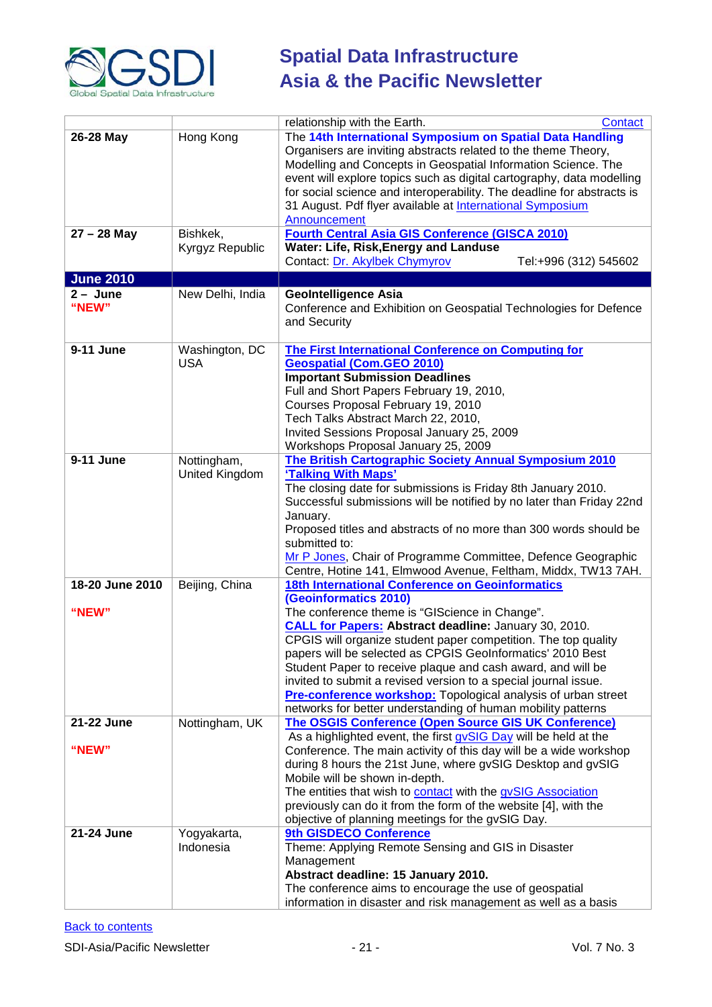

|                  |                  | relationship with the Earth.<br><b>Contact</b>                         |
|------------------|------------------|------------------------------------------------------------------------|
| 26-28 May        | Hong Kong        | The 14th International Symposium on Spatial Data Handling              |
|                  |                  | Organisers are inviting abstracts related to the theme Theory,         |
|                  |                  | Modelling and Concepts in Geospatial Information Science. The          |
|                  |                  | event will explore topics such as digital cartography, data modelling  |
|                  |                  | for social science and interoperability. The deadline for abstracts is |
|                  |                  | 31 August. Pdf flyer available at <b>International Symposium</b>       |
|                  |                  | Announcement                                                           |
| $27 - 28$ May    | Bishkek,         | <b>Fourth Central Asia GIS Conference (GISCA 2010)</b>                 |
|                  | Kyrgyz Republic  | Water: Life, Risk, Energy and Landuse                                  |
|                  |                  | Contact: Dr. Akylbek Chymyrov<br>Tel:+996 (312) 545602                 |
|                  |                  |                                                                        |
| <b>June 2010</b> |                  |                                                                        |
| $2 - June$       | New Delhi, India | <b>GeoIntelligence Asia</b>                                            |
| "NEW"            |                  | Conference and Exhibition on Geospatial Technologies for Defence       |
|                  |                  | and Security                                                           |
|                  |                  |                                                                        |
| 9-11 June        | Washington, DC   | <b>The First International Conference on Computing for</b>             |
|                  | <b>USA</b>       | <b>Geospatial (Com.GEO 2010)</b>                                       |
|                  |                  | <b>Important Submission Deadlines</b>                                  |
|                  |                  | Full and Short Papers February 19, 2010,                               |
|                  |                  | Courses Proposal February 19, 2010                                     |
|                  |                  | Tech Talks Abstract March 22, 2010,                                    |
|                  |                  |                                                                        |
|                  |                  | Invited Sessions Proposal January 25, 2009                             |
|                  |                  | Workshops Proposal January 25, 2009                                    |
| 9-11 June        | Nottingham,      | The British Cartographic Society Annual Symposium 2010                 |
|                  | United Kingdom   | 'Talking With Maps'                                                    |
|                  |                  | The closing date for submissions is Friday 8th January 2010.           |
|                  |                  | Successful submissions will be notified by no later than Friday 22nd   |
|                  |                  | January.                                                               |
|                  |                  | Proposed titles and abstracts of no more than 300 words should be      |
|                  |                  | submitted to:                                                          |
|                  |                  | Mr P Jones, Chair of Programme Committee, Defence Geographic           |
|                  |                  | Centre, Hotine 141, Elmwood Avenue, Feltham, Middx, TW13 7AH.          |
| 18-20 June 2010  | Beijing, China   | <b>18th International Conference on Geoinformatics</b>                 |
|                  |                  | (Geoinformatics 2010)                                                  |
| "NEW"            |                  | The conference theme is "GIScience in Change".                         |
|                  |                  | <b>CALL for Papers: Abstract deadline: January 30, 2010.</b>           |
|                  |                  |                                                                        |
|                  |                  | CPGIS will organize student paper competition. The top quality         |
|                  |                  | papers will be selected as CPGIS GeoInformatics' 2010 Best             |
|                  |                  | Student Paper to receive plaque and cash award, and will be            |
|                  |                  | invited to submit a revised version to a special journal issue.        |
|                  |                  | Pre-conference workshop: Topological analysis of urban street          |
|                  |                  | networks for better understanding of human mobility patterns           |
| 21-22 June       | Nottingham, UK   | The OSGIS Conference (Open Source GIS UK Conference)                   |
|                  |                  | As a highlighted event, the first gvSIG Day will be held at the        |
| "NEW"            |                  | Conference. The main activity of this day will be a wide workshop      |
|                  |                  | during 8 hours the 21st June, where gvSIG Desktop and gvSIG            |
|                  |                  | Mobile will be shown in-depth.                                         |
|                  |                  | The entities that wish to contact with the gvSIG Association           |
|                  |                  | previously can do it from the form of the website [4], with the        |
|                  |                  | objective of planning meetings for the gvSIG Day.                      |
| 21-24 June       |                  | 9th GISDECO Conference                                                 |
|                  | Yogyakarta,      |                                                                        |
|                  | Indonesia        | Theme: Applying Remote Sensing and GIS in Disaster                     |
|                  |                  | Management                                                             |
|                  |                  | Abstract deadline: 15 January 2010.                                    |
|                  |                  | The conference aims to encourage the use of geospatial                 |
|                  |                  | information in disaster and risk management as well as a basis         |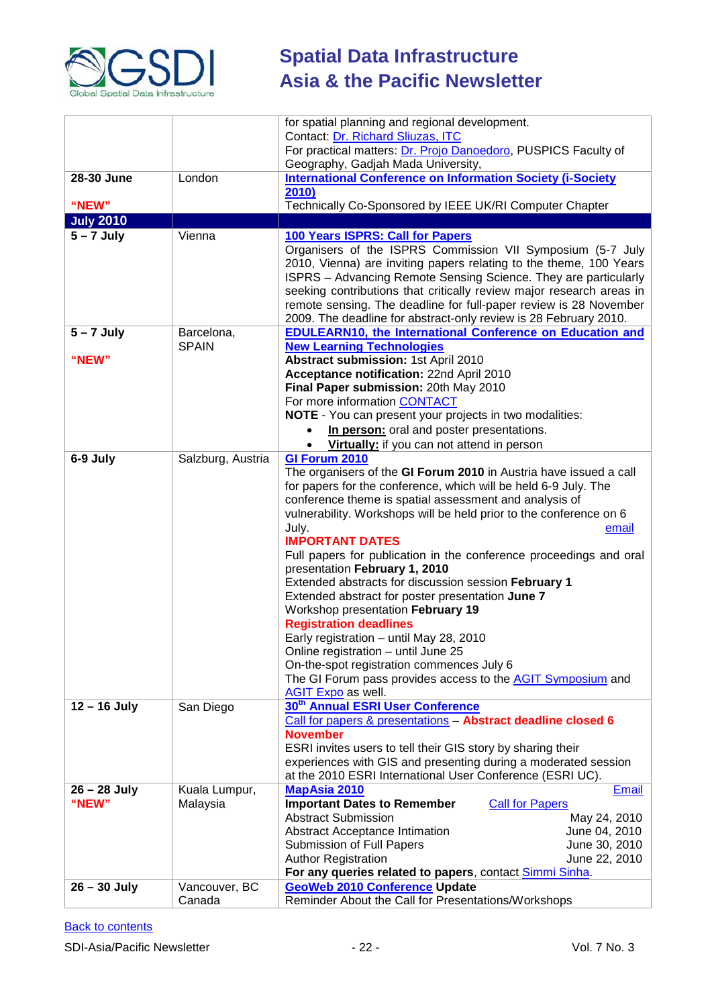

|                  |                   | for spatial planning and regional development.                                                                                        |
|------------------|-------------------|---------------------------------------------------------------------------------------------------------------------------------------|
|                  |                   | Contact: Dr. Richard Sliuzas, ITC                                                                                                     |
|                  |                   | For practical matters: Dr. Projo Danoedoro, PUSPICS Faculty of                                                                        |
|                  |                   | Geography, Gadjah Mada University,                                                                                                    |
| 28-30 June       | London            | <b>International Conference on Information Society (i-Society</b>                                                                     |
|                  |                   | 2010                                                                                                                                  |
| "NEW"            |                   | Technically Co-Sponsored by IEEE UK/RI Computer Chapter                                                                               |
| <b>July 2010</b> |                   |                                                                                                                                       |
| $5 - 7$ July     | Vienna            | 100 Years ISPRS: Call for Papers                                                                                                      |
|                  |                   | Organisers of the ISPRS Commission VII Symposium (5-7 July                                                                            |
|                  |                   | 2010, Vienna) are inviting papers relating to the theme, 100 Years                                                                    |
|                  |                   | ISPRS - Advancing Remote Sensing Science. They are particularly                                                                       |
|                  |                   | seeking contributions that critically review major research areas in                                                                  |
|                  |                   | remote sensing. The deadline for full-paper review is 28 November<br>2009. The deadline for abstract-only review is 28 February 2010. |
| $5 - 7$ July     | Barcelona,        | <b>EDULEARN10, the International Conference on Education and</b>                                                                      |
|                  | <b>SPAIN</b>      | <b>New Learning Technologies</b>                                                                                                      |
| "NEW"            |                   | Abstract submission: 1st April 2010                                                                                                   |
|                  |                   | Acceptance notification: 22nd April 2010                                                                                              |
|                  |                   | Final Paper submission: 20th May 2010                                                                                                 |
|                  |                   | For more information CONTACT                                                                                                          |
|                  |                   | NOTE - You can present your projects in two modalities:                                                                               |
|                  |                   | In person: oral and poster presentations.<br>$\bullet$                                                                                |
|                  |                   | Virtually: if you can not attend in person<br>$\bullet$                                                                               |
| 6-9 July         | Salzburg, Austria | GI Forum 2010                                                                                                                         |
|                  |                   | The organisers of the GI Forum 2010 in Austria have issued a call                                                                     |
|                  |                   | for papers for the conference, which will be held 6-9 July. The                                                                       |
|                  |                   | conference theme is spatial assessment and analysis of                                                                                |
|                  |                   | vulnerability. Workshops will be held prior to the conference on 6                                                                    |
|                  |                   | July.<br>email<br><b>IMPORTANT DATES</b>                                                                                              |
|                  |                   | Full papers for publication in the conference proceedings and oral                                                                    |
|                  |                   | presentation February 1, 2010                                                                                                         |
|                  |                   | Extended abstracts for discussion session February 1                                                                                  |
|                  |                   | Extended abstract for poster presentation June 7                                                                                      |
|                  |                   | Workshop presentation February 19                                                                                                     |
|                  |                   | <b>Registration deadlines</b>                                                                                                         |
|                  |                   | Early registration - until May 28, 2010                                                                                               |
|                  |                   | Online registration - until June 25                                                                                                   |
|                  |                   | On-the-spot registration commences July 6                                                                                             |
|                  |                   | The GI Forum pass provides access to the <b>AGIT Symposium</b> and                                                                    |
| $12 - 16$ July   | San Diego         | AGIT Expo as well.<br>30 <sup>th</sup> Annual ESRI User Conference                                                                    |
|                  |                   | Call for papers & presentations - Abstract deadline closed 6                                                                          |
|                  |                   | <b>November</b>                                                                                                                       |
|                  |                   | ESRI invites users to tell their GIS story by sharing their                                                                           |
|                  |                   | experiences with GIS and presenting during a moderated session                                                                        |
|                  |                   | at the 2010 ESRI International User Conference (ESRI UC).                                                                             |
| $26 - 28$ July   | Kuala Lumpur,     | <b>MapAsia 2010</b><br><b>Email</b>                                                                                                   |
| "NEW"            | Malaysia          | <b>Important Dates to Remember</b><br><b>Call for Papers</b>                                                                          |
|                  |                   | <b>Abstract Submission</b><br>May 24, 2010                                                                                            |
|                  |                   | <b>Abstract Acceptance Intimation</b><br>June 04, 2010                                                                                |
|                  |                   | June 30, 2010<br>Submission of Full Papers                                                                                            |
|                  |                   | <b>Author Registration</b><br>June 22, 2010                                                                                           |
| $26 - 30$ July   | Vancouver, BC     | For any queries related to papers, contact Simmi Sinha.<br><b>GeoWeb 2010 Conference Update</b>                                       |
|                  | Canada            | Reminder About the Call for Presentations/Workshops                                                                                   |
|                  |                   |                                                                                                                                       |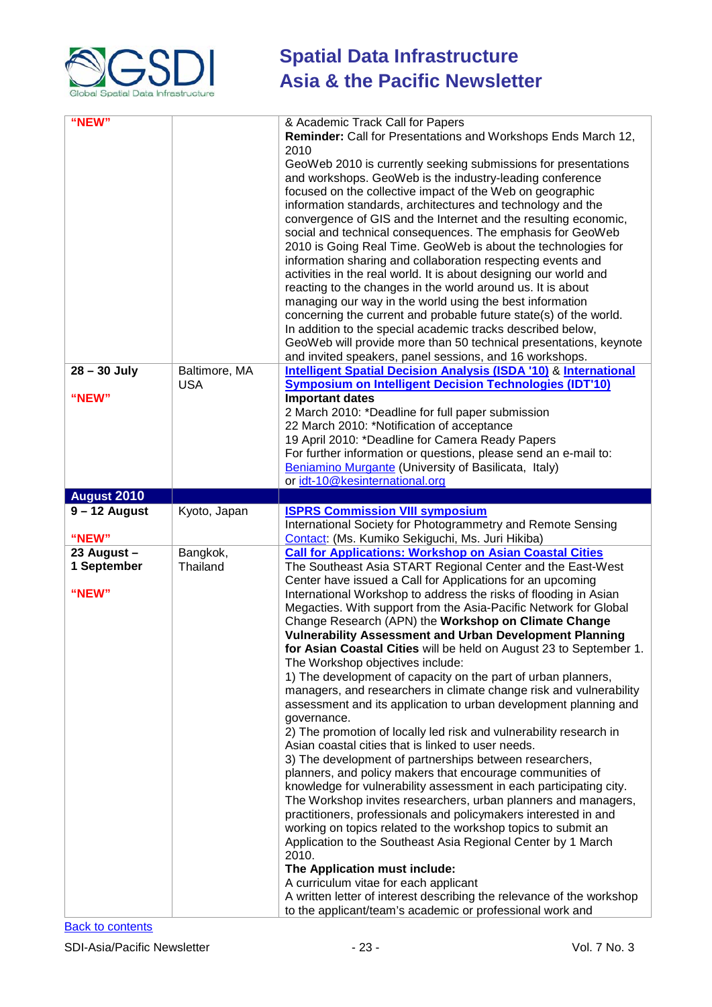

| "NEW"                    |               |                                                                                                                                                                                                                                                                                                                                                                                                                                                                                                                                                                                                                                                                                                                                                                                                                                                                                                                                                                                                                                                                                                          |
|--------------------------|---------------|----------------------------------------------------------------------------------------------------------------------------------------------------------------------------------------------------------------------------------------------------------------------------------------------------------------------------------------------------------------------------------------------------------------------------------------------------------------------------------------------------------------------------------------------------------------------------------------------------------------------------------------------------------------------------------------------------------------------------------------------------------------------------------------------------------------------------------------------------------------------------------------------------------------------------------------------------------------------------------------------------------------------------------------------------------------------------------------------------------|
|                          |               | & Academic Track Call for Papers<br>Reminder: Call for Presentations and Workshops Ends March 12,<br>2010<br>GeoWeb 2010 is currently seeking submissions for presentations<br>and workshops. GeoWeb is the industry-leading conference<br>focused on the collective impact of the Web on geographic<br>information standards, architectures and technology and the<br>convergence of GIS and the Internet and the resulting economic,<br>social and technical consequences. The emphasis for GeoWeb<br>2010 is Going Real Time. GeoWeb is about the technologies for<br>information sharing and collaboration respecting events and<br>activities in the real world. It is about designing our world and<br>reacting to the changes in the world around us. It is about<br>managing our way in the world using the best information<br>concerning the current and probable future state(s) of the world.<br>In addition to the special academic tracks described below,<br>GeoWeb will provide more than 50 technical presentations, keynote<br>and invited speakers, panel sessions, and 16 workshops. |
| $28 - 30$ July           | Baltimore, MA | <b>Intelligent Spatial Decision Analysis (ISDA '10) &amp; International</b>                                                                                                                                                                                                                                                                                                                                                                                                                                                                                                                                                                                                                                                                                                                                                                                                                                                                                                                                                                                                                              |
| "NEW"                    | <b>USA</b>    | <b>Symposium on Intelligent Decision Technologies (IDT'10)</b>                                                                                                                                                                                                                                                                                                                                                                                                                                                                                                                                                                                                                                                                                                                                                                                                                                                                                                                                                                                                                                           |
|                          |               | <b>Important dates</b><br>2 March 2010: *Deadline for full paper submission<br>22 March 2010: *Notification of acceptance<br>19 April 2010: *Deadline for Camera Ready Papers<br>For further information or questions, please send an e-mail to:<br>Beniamino Murgante (University of Basilicata, Italy)<br>or idt-10@kesinternational.org                                                                                                                                                                                                                                                                                                                                                                                                                                                                                                                                                                                                                                                                                                                                                               |
| August 2010              |               |                                                                                                                                                                                                                                                                                                                                                                                                                                                                                                                                                                                                                                                                                                                                                                                                                                                                                                                                                                                                                                                                                                          |
| $9 - 12$ August<br>"NEW" | Kyoto, Japan  | <b>ISPRS Commission VIII symposium</b><br>International Society for Photogrammetry and Remote Sensing<br>Contact: (Ms. Kumiko Sekiguchi, Ms. Juri Hikiba)                                                                                                                                                                                                                                                                                                                                                                                                                                                                                                                                                                                                                                                                                                                                                                                                                                                                                                                                                |
| 23 August -              | Bangkok,      | <b>Call for Applications: Workshop on Asian Coastal Cities</b>                                                                                                                                                                                                                                                                                                                                                                                                                                                                                                                                                                                                                                                                                                                                                                                                                                                                                                                                                                                                                                           |
| 1 September              | Thailand      | The Southeast Asia START Regional Center and the East-West                                                                                                                                                                                                                                                                                                                                                                                                                                                                                                                                                                                                                                                                                                                                                                                                                                                                                                                                                                                                                                               |
| "NEW"                    |               | Center have issued a Call for Applications for an upcoming<br>International Workshop to address the risks of flooding in Asian<br>Megacties. With support from the Asia-Pacific Network for Global                                                                                                                                                                                                                                                                                                                                                                                                                                                                                                                                                                                                                                                                                                                                                                                                                                                                                                       |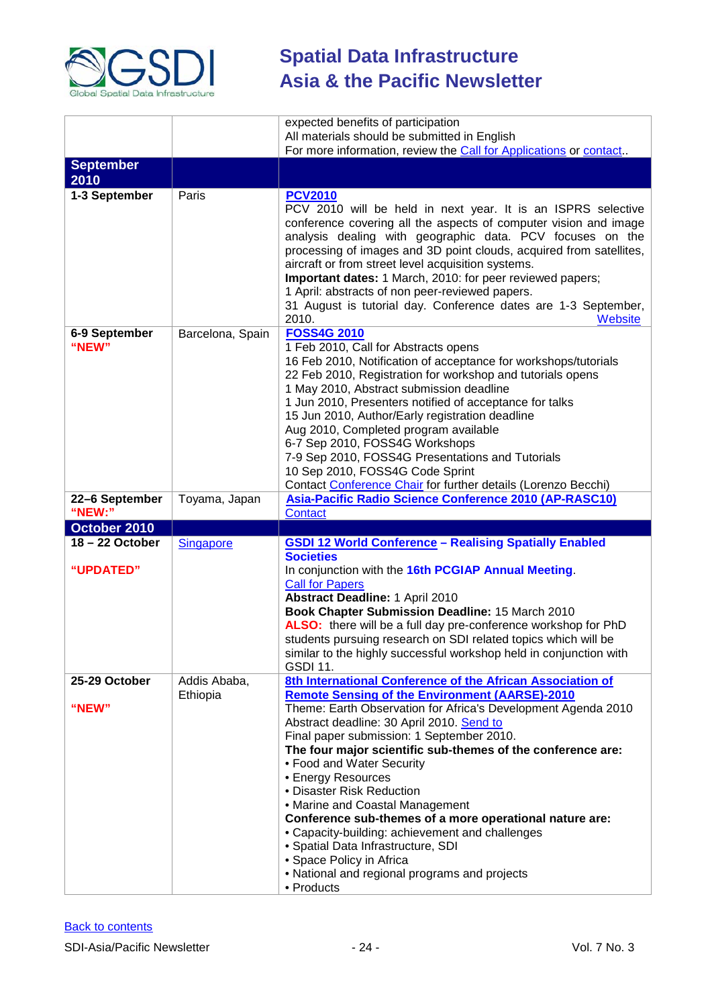

|                          |                          | expected benefits of participation<br>All materials should be submitted in English                                                                                                                                                                                                                                                                                                                                                                                                                                                                                                                                                                                                                              |
|--------------------------|--------------------------|-----------------------------------------------------------------------------------------------------------------------------------------------------------------------------------------------------------------------------------------------------------------------------------------------------------------------------------------------------------------------------------------------------------------------------------------------------------------------------------------------------------------------------------------------------------------------------------------------------------------------------------------------------------------------------------------------------------------|
|                          |                          | For more information, review the Call for Applications or contact.                                                                                                                                                                                                                                                                                                                                                                                                                                                                                                                                                                                                                                              |
| <b>September</b><br>2010 |                          |                                                                                                                                                                                                                                                                                                                                                                                                                                                                                                                                                                                                                                                                                                                 |
| 1-3 September            | Paris                    | <b>PCV2010</b><br>PCV 2010 will be held in next year. It is an ISPRS selective<br>conference covering all the aspects of computer vision and image<br>analysis dealing with geographic data. PCV focuses on the<br>processing of images and 3D point clouds, acquired from satellites,<br>aircraft or from street level acquisition systems.<br>Important dates: 1 March, 2010: for peer reviewed papers;<br>1 April: abstracts of non peer-reviewed papers.<br>31 August is tutorial day. Conference dates are 1-3 September,<br>2010.<br>Website                                                                                                                                                              |
| 6-9 September<br>"NEW"   | Barcelona, Spain         | <b>FOSS4G 2010</b><br>1 Feb 2010, Call for Abstracts opens<br>16 Feb 2010, Notification of acceptance for workshops/tutorials<br>22 Feb 2010, Registration for workshop and tutorials opens<br>1 May 2010, Abstract submission deadline<br>1 Jun 2010, Presenters notified of acceptance for talks<br>15 Jun 2010, Author/Early registration deadline<br>Aug 2010, Completed program available<br>6-7 Sep 2010, FOSS4G Workshops<br>7-9 Sep 2010, FOSS4G Presentations and Tutorials<br>10 Sep 2010, FOSS4G Code Sprint<br>Contact Conference Chair for further details (Lorenzo Becchi)                                                                                                                        |
| 22-6 September<br>"NEW:" | Toyama, Japan            | Asia-Pacific Radio Science Conference 2010 (AP-RASC10)<br>Contact                                                                                                                                                                                                                                                                                                                                                                                                                                                                                                                                                                                                                                               |
| October 2010             |                          |                                                                                                                                                                                                                                                                                                                                                                                                                                                                                                                                                                                                                                                                                                                 |
| 18-22 October            | <b>Singapore</b>         | <b>GSDI 12 World Conference - Realising Spatially Enabled</b>                                                                                                                                                                                                                                                                                                                                                                                                                                                                                                                                                                                                                                                   |
| "UPDATED"                |                          | <b>Societies</b><br>In conjunction with the 16th PCGIAP Annual Meeting.<br><b>Call for Papers</b><br><b>Abstract Deadline: 1 April 2010</b><br>Book Chapter Submission Deadline: 15 March 2010<br>ALSO: there will be a full day pre-conference workshop for PhD<br>students pursuing research on SDI related topics which will be<br>similar to the highly successful workshop held in conjunction with<br><b>GSDI 11.</b>                                                                                                                                                                                                                                                                                     |
| 25-29 October<br>"NEW"   | Addis Ababa,<br>Ethiopia | 8th International Conference of the African Association of<br><b>Remote Sensing of the Environment (AARSE)-2010</b><br>Theme: Earth Observation for Africa's Development Agenda 2010<br>Abstract deadline: 30 April 2010. Send to<br>Final paper submission: 1 September 2010.<br>The four major scientific sub-themes of the conference are:<br>• Food and Water Security<br>• Energy Resources<br>• Disaster Risk Reduction<br>• Marine and Coastal Management<br>Conference sub-themes of a more operational nature are:<br>• Capacity-building: achievement and challenges<br>· Spatial Data Infrastructure, SDI<br>• Space Policy in Africa<br>• National and regional programs and projects<br>• Products |